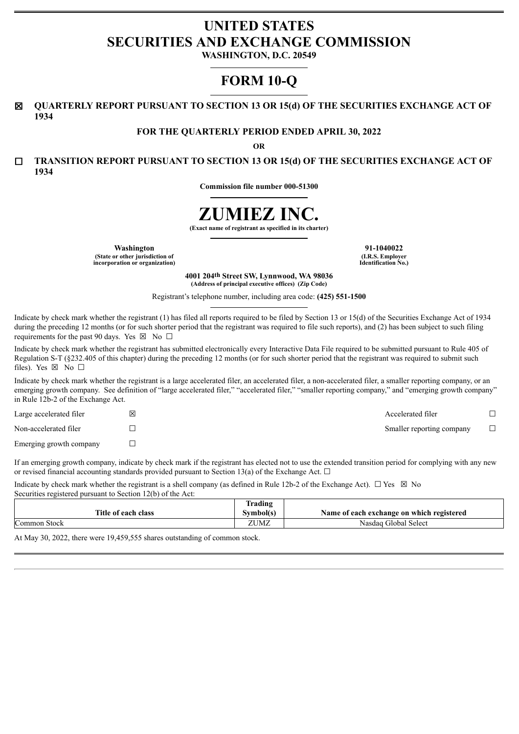# **UNITED STATES SECURITIES AND EXCHANGE COMMISSION**

**WASHINGTON, D.C. 20549**

# **FORM 10-Q**

## ☒ **QUARTERLY REPORT PURSUANT TO SECTION 13 OR 15(d) OF THE SECURITIES EXCHANGE ACT OF 1934**

## **FOR THE QUARTERLY PERIOD ENDED APRIL 30, 2022**

**OR**

## ☐ **TRANSITION REPORT PURSUANT TO SECTION 13 OR 15(d) OF THE SECURITIES EXCHANGE ACT OF 1934**

**Commission file number 000-51300**



**(Exact name of registrant as specified in its charter)**

**Washington**<br>
or other jurisdiction of the control of the control of the control of the control of the control of the control of<br> **1.R.S. Employer**<br> **1.A.S. Employer**<br> **1.A.S. Employer**<br> **1.A.S. Employer (State or other jurisdiction of incorporation or organization) Identification No.)**

**4001 204th Street SW, Lynnwood, WA 98036 (Address of principal executive offices) (Zip Code)**

Registrant's telephone number, including area code: **(425) 551-1500**

Indicate by check mark whether the registrant (1) has filed all reports required to be filed by Section 13 or 15(d) of the Securities Exchange Act of 1934 during the preceding 12 months (or for such shorter period that the registrant was required to file such reports), and (2) has been subject to such filing requirements for the past 90 days. Yes  $\boxtimes$  No  $\Box$ 

Indicate by check mark whether the registrant has submitted electronically every Interactive Data File required to be submitted pursuant to Rule 405 of Regulation S-T (§232.405 of this chapter) during the preceding 12 months (or for such shorter period that the registrant was required to submit such files). Yes  $\boxtimes$  No  $\square$ 

Indicate by check mark whether the registrant is a large accelerated filer, an accelerated filer, a non-accelerated filer, a smaller reporting company, or an emerging growth company. See definition of "large accelerated filer," "accelerated filer," "smaller reporting company," and "emerging growth company" in Rule 12b-2 of the Exchange Act.

| Large accelerated filer | 冈 | Accelerated filer         |  |
|-------------------------|---|---------------------------|--|
| Non-accelerated filer   |   | Smaller reporting company |  |
| Emerging growth company |   |                           |  |

If an emerging growth company, indicate by check mark if the registrant has elected not to use the extended transition period for complying with any new or revised financial accounting standards provided pursuant to Section 13(a) of the Exchange Act.  $\Box$ 

Indicate by check mark whether the registrant is a shell company (as defined in Rule 12b-2 of the Exchange Act).  $\Box$  Yes  $\boxtimes$  No Securities registered pursuant to Section 12(b) of the Act:

|                     | Irading   |                                           |
|---------------------|-----------|-------------------------------------------|
| Title of each class | Symbol(s) | Name of each exchange on which registered |
| Common Stock        | ZUMZ      | Nasdag Global Select                      |

At May 30, 2022, there were 19,459,555 shares outstanding of common stock.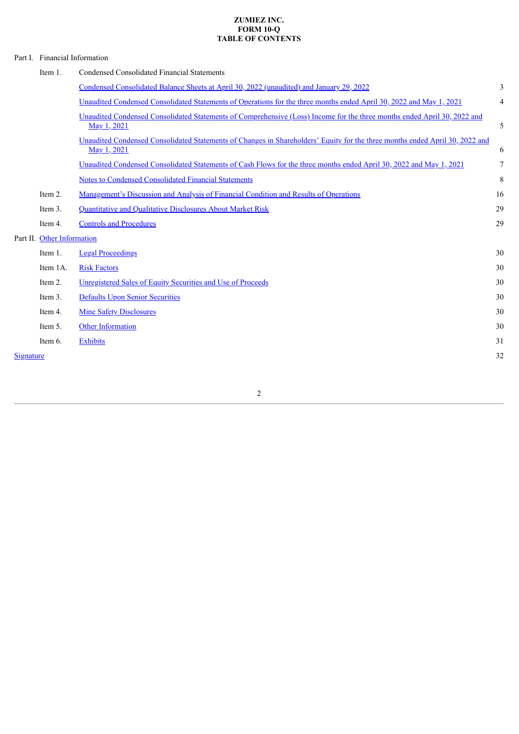## **ZUMIEZ INC. FORM 10-Q TABLE OF CONTENTS**

## Part I. Financial Information

|           | Item 1.                    | <b>Condensed Consolidated Financial Statements</b>                                                                                          |                |
|-----------|----------------------------|---------------------------------------------------------------------------------------------------------------------------------------------|----------------|
|           |                            | Condensed Consolidated Balance Sheets at April 30, 2022 (unaudited) and January 29, 2022                                                    | 3              |
|           |                            | Unaudited Condensed Consolidated Statements of Operations for the three months ended April 30, 2022 and May 1, 2021                         | 4              |
|           |                            | Unaudited Condensed Consolidated Statements of Comprehensive (Loss) Income for the three months ended April 30, 2022 and<br>May 1, 2021     | 5              |
|           |                            | Unaudited Condensed Consolidated Statements of Changes in Shareholders' Equity for the three months ended April 30, 2022 and<br>May 1, 2021 | 6              |
|           |                            | Unaudited Condensed Consolidated Statements of Cash Flows for the three months ended April 30, 2022 and May 1, 2021                         | $\overline{7}$ |
|           |                            | <b>Notes to Condensed Consolidated Financial Statements</b>                                                                                 | 8              |
|           | Item 2.                    | Management's Discussion and Analysis of Financial Condition and Results of Operations                                                       | 16             |
|           | Item 3.                    | Quantitative and Qualitative Disclosures About Market Risk                                                                                  | 29             |
|           | Item 4.                    | <b>Controls and Procedures</b>                                                                                                              | 29             |
|           | Part II. Other Information |                                                                                                                                             |                |
|           | Item 1.                    | <b>Legal Proceedings</b>                                                                                                                    | 30             |
|           | Item 1A.                   | <b>Risk Factors</b>                                                                                                                         | 30             |
|           | Item 2.                    | Unregistered Sales of Equity Securities and Use of Proceeds                                                                                 | 30             |
|           | Item 3.                    | <b>Defaults Upon Senior Securities</b>                                                                                                      | 30             |
|           | Item 4.                    | <b>Mine Safety Disclosures</b>                                                                                                              | 30             |
|           | Item 5.                    | <b>Other Information</b>                                                                                                                    | 30             |
|           | Item 6.                    | <b>Exhibits</b>                                                                                                                             | 31             |
| Signature |                            |                                                                                                                                             | 32             |
|           |                            |                                                                                                                                             |                |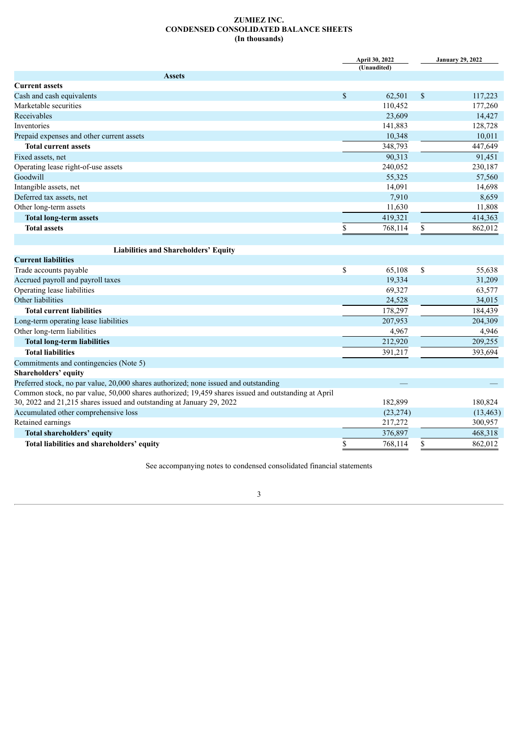#### **ZUMIEZ INC. CONDENSED CONSOLIDATED BALANCE SHEETS (In thousands)**

<span id="page-2-0"></span>

|                                                                                                     | April 30, 2022<br>(Unaudited) |           | <b>January 29, 2022</b> |           |
|-----------------------------------------------------------------------------------------------------|-------------------------------|-----------|-------------------------|-----------|
| <b>Assets</b>                                                                                       |                               |           |                         |           |
| <b>Current assets</b>                                                                               |                               |           |                         |           |
| Cash and cash equivalents                                                                           | \$                            | 62,501    | \$                      | 117,223   |
| Marketable securities                                                                               |                               | 110,452   |                         | 177,260   |
| Receivables                                                                                         |                               | 23,609    |                         | 14,427    |
| Inventories                                                                                         |                               | 141,883   |                         | 128,728   |
| Prepaid expenses and other current assets                                                           |                               | 10,348    |                         | 10,011    |
| <b>Total current assets</b>                                                                         |                               | 348,793   |                         | 447,649   |
| Fixed assets, net                                                                                   |                               | 90,313    |                         | 91,451    |
| Operating lease right-of-use assets                                                                 |                               | 240,052   |                         | 230,187   |
| Goodwill                                                                                            |                               | 55,325    |                         | 57,560    |
| Intangible assets, net                                                                              |                               | 14,091    |                         | 14,698    |
| Deferred tax assets, net                                                                            |                               | 7,910     |                         | 8,659     |
| Other long-term assets                                                                              |                               | 11,630    |                         | 11,808    |
| <b>Total long-term assets</b>                                                                       |                               | 419,321   |                         | 414,363   |
| <b>Total assets</b>                                                                                 | \$                            | 768,114   | \$                      | 862,012   |
| <b>Liabilities and Shareholders' Equity</b>                                                         |                               |           |                         |           |
| <b>Current liabilities</b>                                                                          |                               |           |                         |           |
| Trade accounts payable                                                                              | \$                            | 65,108    | \$                      | 55,638    |
| Accrued payroll and payroll taxes                                                                   |                               | 19,334    |                         | 31,209    |
| Operating lease liabilities                                                                         |                               | 69,327    |                         | 63,577    |
| Other liabilities                                                                                   |                               | 24,528    |                         | 34,015    |
| <b>Total current liabilities</b>                                                                    |                               | 178,297   |                         | 184,439   |
| Long-term operating lease liabilities                                                               |                               | 207,953   |                         | 204,309   |
| Other long-term liabilities                                                                         |                               | 4,967     |                         | 4,946     |
| <b>Total long-term liabilities</b>                                                                  |                               | 212,920   |                         | 209,255   |
| <b>Total liabilities</b>                                                                            |                               | 391,217   |                         | 393,694   |
| Commitments and contingencies (Note 5)                                                              |                               |           |                         |           |
| Shareholders' equity                                                                                |                               |           |                         |           |
| Preferred stock, no par value, 20,000 shares authorized; none issued and outstanding                |                               |           |                         |           |
| Common stock, no par value, 50,000 shares authorized; 19,459 shares issued and outstanding at April |                               |           |                         |           |
| 30, 2022 and 21,215 shares issued and outstanding at January 29, 2022                               |                               | 182,899   |                         | 180,824   |
| Accumulated other comprehensive loss                                                                |                               | (23, 274) |                         | (13, 463) |
| Retained earnings                                                                                   |                               | 217,272   |                         | 300,957   |
| <b>Total shareholders' equity</b>                                                                   |                               | 376,897   |                         | 468,318   |
| Total liabilities and shareholders' equity                                                          | \$                            | 768,114   | \$                      | 862,012   |

See accompanying notes to condensed consolidated financial statements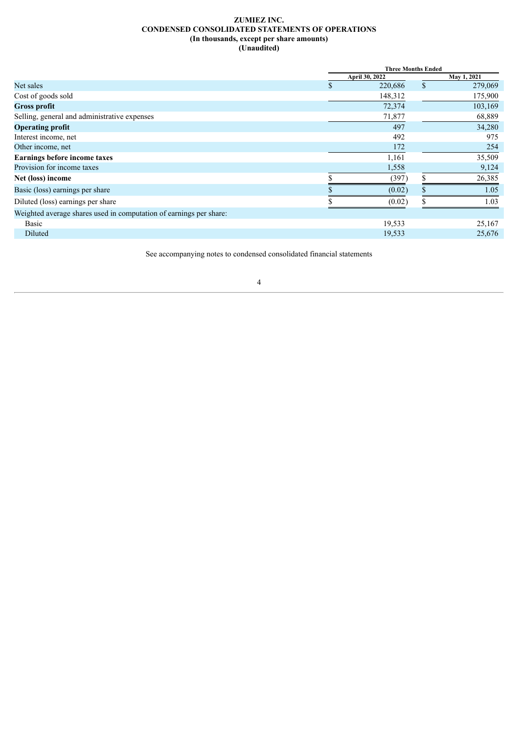## **ZUMIEZ INC. CONDENSED CONSOLIDATED STATEMENTS OF OPERATIONS (In thousands, except per share amounts) (Unaudited)**

<span id="page-3-0"></span>

|                                                                    |   | <b>Three Months Ended</b> |    |             |  |  |  |  |
|--------------------------------------------------------------------|---|---------------------------|----|-------------|--|--|--|--|
|                                                                    |   | April 30, 2022            |    | May 1, 2021 |  |  |  |  |
| Net sales                                                          | S | 220,686                   | \$ | 279,069     |  |  |  |  |
| Cost of goods sold                                                 |   | 148,312                   |    | 175,900     |  |  |  |  |
| <b>Gross profit</b>                                                |   | 72,374                    |    | 103,169     |  |  |  |  |
| Selling, general and administrative expenses                       |   | 71,877                    |    | 68,889      |  |  |  |  |
| <b>Operating profit</b>                                            |   | 497                       |    | 34,280      |  |  |  |  |
| Interest income, net                                               |   | 492                       |    | 975         |  |  |  |  |
| Other income, net                                                  |   | 172                       |    | 254         |  |  |  |  |
| <b>Earnings before income taxes</b>                                |   | 1,161                     |    | 35,509      |  |  |  |  |
| Provision for income taxes                                         |   | 1,558                     |    | 9,124       |  |  |  |  |
| Net (loss) income                                                  |   | (397)                     |    | 26,385      |  |  |  |  |
| Basic (loss) earnings per share                                    |   | (0.02)                    |    | 1.05        |  |  |  |  |
| Diluted (loss) earnings per share                                  |   | (0.02)                    |    | 1.03        |  |  |  |  |
| Weighted average shares used in computation of earnings per share: |   |                           |    |             |  |  |  |  |
| <b>Basic</b>                                                       |   | 19,533                    |    | 25,167      |  |  |  |  |
| Diluted                                                            |   | 19,533                    |    | 25,676      |  |  |  |  |

See accompanying notes to condensed consolidated financial statements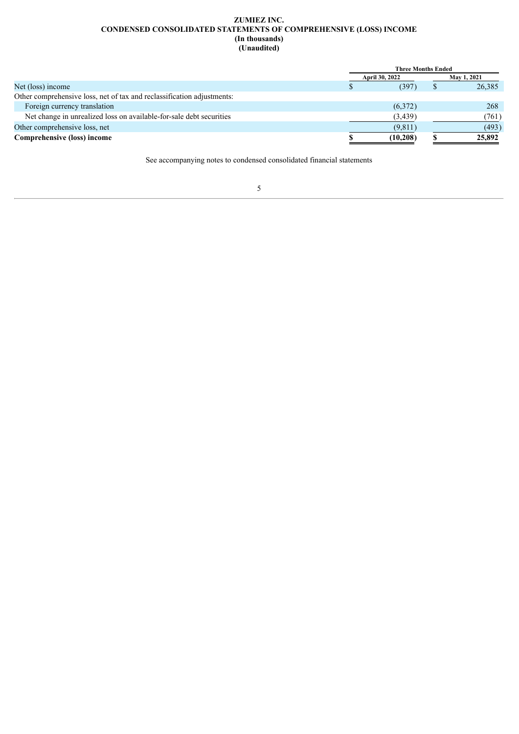## **ZUMIEZ INC. CONDENSED CONSOLIDATED STATEMENTS OF COMPREHENSIVE (LOSS) INCOME (In thousands) (Unaudited)**

<span id="page-4-0"></span>

|                                                                        | <b>Three Months Ended</b> |             |        |  |  |  |
|------------------------------------------------------------------------|---------------------------|-------------|--------|--|--|--|
|                                                                        | April 30, 2022            | May 1, 2021 |        |  |  |  |
| Net (loss) income                                                      | (397)                     |             | 26,385 |  |  |  |
| Other comprehensive loss, net of tax and reclassification adjustments: |                           |             |        |  |  |  |
| Foreign currency translation                                           | (6,372)                   |             | 268    |  |  |  |
| Net change in unrealized loss on available-for-sale debt securities    | (3,439)                   |             | (761)  |  |  |  |
| Other comprehensive loss, net                                          | (9,811)                   |             | (493)  |  |  |  |
| Comprehensive (loss) income                                            | (10, 208)                 |             | 25,892 |  |  |  |

See accompanying notes to condensed consolidated financial statements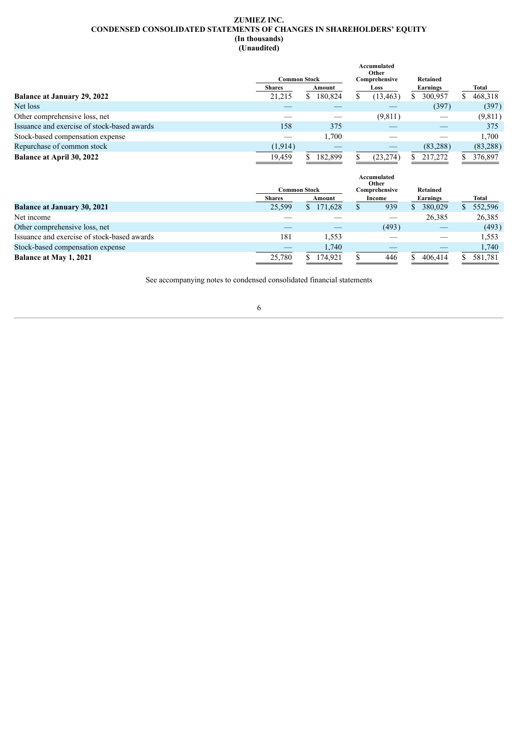## **ZUMIEZ INC. CONDENSED CONSOLIDATED STATEMENTS OF CHANGES IN SHAREHOLDERS' EQUITY (In thousands) (Unaudited)**

<span id="page-5-0"></span>

|                                             | <b>Common Stock</b><br><b>Shares</b> | Amount  | Comprehensive<br>Loss | Retained<br>Earnings | Total     |
|---------------------------------------------|--------------------------------------|---------|-----------------------|----------------------|-----------|
| <b>Balance at January 29, 2022</b>          | 21,215                               | 180,824 | (13, 463)             | 300,957              | 468,318   |
| Net loss                                    |                                      |         |                       | (397)                | (397)     |
| Other comprehensive loss, net               |                                      |         | (9,811)               |                      | (9,811)   |
| Issuance and exercise of stock-based awards | 158                                  | 375     |                       |                      | 375       |
| Stock-based compensation expense            |                                      | 1.700   |                       |                      | 1.700     |
| Repurchase of common stock                  | (1,914)                              |         |                       | (83, 288)            | (83, 288) |
| <b>Balance at April 30, 2022</b>            | 19,459                               | 182.899 | (23, 274)             | 217,272              | 376,897   |

|                                             |               | Accumulated<br>Other |               |                 |         |  |  |  |
|---------------------------------------------|---------------|----------------------|---------------|-----------------|---------|--|--|--|
|                                             |               | Common Stock         | Comprehensive | <b>Retained</b> |         |  |  |  |
|                                             | <b>Shares</b> | Amount               | Income        | Earnings        | Total   |  |  |  |
| <b>Balance at January 30, 2021</b>          | 25,599        | 171,628<br>S.        | 939           | 380,029<br>S.   | 552,596 |  |  |  |
| Net income                                  |               |                      |               | 26,385          | 26,385  |  |  |  |
| Other comprehensive loss, net               |               |                      | (493)         |                 | (493)   |  |  |  |
| Issuance and exercise of stock-based awards | 181           | 1,553                |               |                 | 1,553   |  |  |  |
| Stock-based compensation expense            |               | 1,740                |               |                 | 1,740   |  |  |  |
| <b>Balance at May 1, 2021</b>               | 25,780        | 174,921              | 446           | 406.414         | 581,781 |  |  |  |

See accompanying notes to condensed consolidated financial statements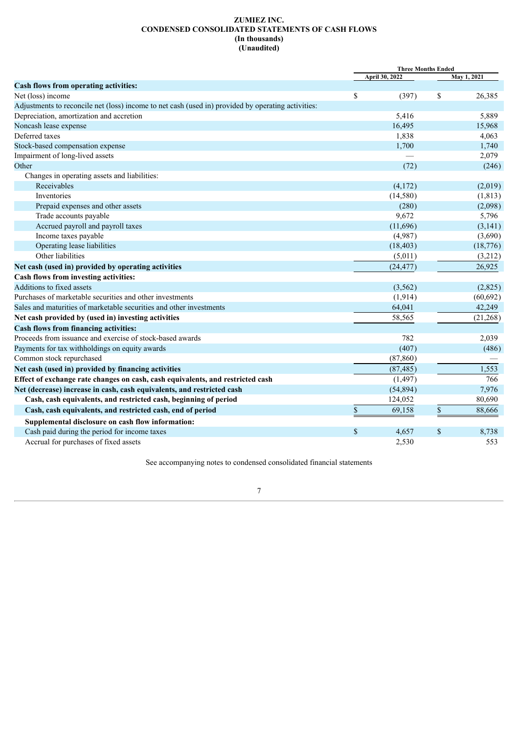## **ZUMIEZ INC. CONDENSED CONSOLIDATED STATEMENTS OF CASH FLOWS (In thousands) (Unaudited)**

<span id="page-6-0"></span>

|                                                                                                    | <b>Three Months Ended</b> |                |             |             |
|----------------------------------------------------------------------------------------------------|---------------------------|----------------|-------------|-------------|
|                                                                                                    |                           | April 30, 2022 |             | May 1, 2021 |
| Cash flows from operating activities:                                                              |                           |                |             |             |
| Net (loss) income                                                                                  | \$                        | (397)          | \$          | 26,385      |
| Adjustments to reconcile net (loss) income to net cash (used in) provided by operating activities: |                           |                |             |             |
| Depreciation, amortization and accretion                                                           |                           | 5,416          |             | 5,889       |
| Noncash lease expense                                                                              |                           | 16,495         |             | 15,968      |
| Deferred taxes                                                                                     |                           | 1,838          |             | 4,063       |
| Stock-based compensation expense                                                                   |                           | 1,700          |             | 1,740       |
| Impairment of long-lived assets                                                                    |                           |                |             | 2,079       |
| Other                                                                                              |                           | (72)           |             | (246)       |
| Changes in operating assets and liabilities:                                                       |                           |                |             |             |
| Receivables                                                                                        |                           | (4,172)        |             | (2,019)     |
| <b>Inventories</b>                                                                                 |                           | (14,580)       |             | (1, 813)    |
| Prepaid expenses and other assets                                                                  |                           | (280)          |             | (2,098)     |
| Trade accounts payable                                                                             |                           | 9,672          |             | 5,796       |
| Accrued payroll and payroll taxes                                                                  |                           | (11,696)       |             | (3, 141)    |
| Income taxes payable                                                                               |                           | (4,987)        |             | (3,690)     |
| Operating lease liabilities                                                                        |                           | (18, 403)      |             | (18,776)    |
| Other liabilities                                                                                  |                           | (5,011)        |             | (3,212)     |
| Net cash (used in) provided by operating activities                                                |                           | (24, 477)      |             | 26,925      |
| Cash flows from investing activities:                                                              |                           |                |             |             |
| Additions to fixed assets                                                                          |                           | (3, 562)       |             | (2,825)     |
| Purchases of marketable securities and other investments                                           |                           | (1, 914)       |             | (60, 692)   |
| Sales and maturities of marketable securities and other investments                                |                           | 64,041         |             | 42,249      |
| Net cash provided by (used in) investing activities                                                |                           | 58,565         |             | (21, 268)   |
| <b>Cash flows from financing activities:</b>                                                       |                           |                |             |             |
| Proceeds from issuance and exercise of stock-based awards                                          |                           | 782            |             | 2,039       |
| Payments for tax withholdings on equity awards                                                     |                           | (407)          |             | (486)       |
| Common stock repurchased                                                                           |                           | (87, 860)      |             |             |
| Net cash (used in) provided by financing activities                                                |                           | (87, 485)      |             | 1,553       |
| Effect of exchange rate changes on cash, cash equivalents, and restricted cash                     |                           | (1, 497)       |             | 766         |
| Net (decrease) increase in cash, cash equivalents, and restricted cash                             |                           | (54, 894)      |             | 7,976       |
| Cash, cash equivalents, and restricted cash, beginning of period                                   |                           | 124,052        |             | 80,690      |
| Cash, cash equivalents, and restricted cash, end of period                                         | \$                        | 69,158         | $\mathbb S$ | 88,666      |
| Supplemental disclosure on cash flow information:                                                  |                           |                |             |             |
| Cash paid during the period for income taxes                                                       | \$                        | 4,657          | \$          | 8,738       |
| Accrual for purchases of fixed assets                                                              |                           | 2,530          |             | 553         |

See accompanying notes to condensed consolidated financial statements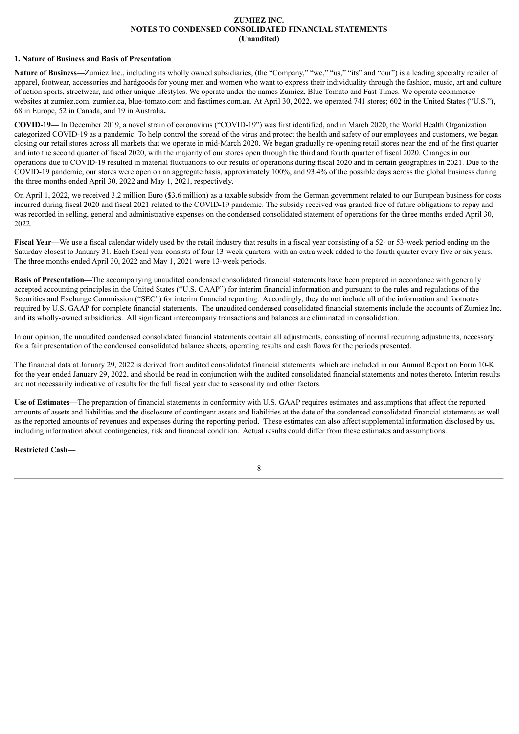#### **ZUMIEZ INC. NOTES TO CONDENSED CONSOLIDATED FINANCIAL STATEMENTS (Unaudited)**

#### <span id="page-7-0"></span>**1. Nature of Business and Basis of Presentation**

Nature of Business—Zumiez Inc., including its wholly owned subsidiaries, (the "Company," "we," "us," "its" and "our") is a leading specialty retailer of apparel, footwear, accessories and hardgoods for young men and women who want to express their individuality through the fashion, music, art and culture of action sports, streetwear, and other unique lifestyles. We operate under the names Zumiez, Blue Tomato and Fast Times. We operate ecommerce websites at zumiez.com, zumiez.ca, blue-tomato.com and fasttimes.com.au. At April 30, 2022, we operated 741 stores; 602 in the United States ("U.S."), 68 in Europe, 52 in Canada, and 19 in Australia**.**

**COVID-19—** In December 2019, a novel strain of coronavirus ("COVID-19") was first identified, and in March 2020, the World Health Organization categorized COVID-19 as a pandemic. To help control the spread of the virus and protect the health and safety of our employees and customers, we began closing our retail stores across all markets that we operate in mid-March 2020. We began gradually re-opening retail stores near the end of the first quarter and into the second quarter of fiscal 2020, with the majority of our stores open through the third and fourth quarter of fiscal 2020. Changes in our operations due to COVID-19 resulted in material fluctuations to our results of operations during fiscal 2020 and in certain geographies in 2021. Due to the COVID-19 pandemic, our stores were open on an aggregate basis, approximately 100%, and 93.4% of the possible days across the global business during the three months ended April 30, 2022 and May 1, 2021, respectively.

On April 1, 2022, we received 3.2 million Euro (\$3.6 million) as a taxable subsidy from the German government related to our European business for costs incurred during fiscal 2020 and fiscal 2021 related to the COVID-19 pandemic. The subsidy received was granted free of future obligations to repay and was recorded in selling, general and administrative expenses on the condensed consolidated statement of operations for the three months ended April 30, 2022.

**Fiscal Year—**We use a fiscal calendar widely used by the retail industry that results in a fiscal year consisting of a 52- or 53-week period ending on the Saturday closest to January 31. Each fiscal year consists of four 13-week quarters, with an extra week added to the fourth quarter every five or six years. The three months ended April 30, 2022 and May 1, 2021 were 13-week periods.

**Basis of Presentation—**The accompanying unaudited condensed consolidated financial statements have been prepared in accordance with generally accepted accounting principles in the United States ("U.S. GAAP") for interim financial information and pursuant to the rules and regulations of the Securities and Exchange Commission ("SEC") for interim financial reporting. Accordingly, they do not include all of the information and footnotes required by U.S. GAAP for complete financial statements. The unaudited condensed consolidated financial statements include the accounts of Zumiez Inc. and its wholly-owned subsidiaries. All significant intercompany transactions and balances are eliminated in consolidation.

In our opinion, the unaudited condensed consolidated financial statements contain all adjustments, consisting of normal recurring adjustments, necessary for a fair presentation of the condensed consolidated balance sheets, operating results and cash flows for the periods presented.

The financial data at January 29, 2022 is derived from audited consolidated financial statements, which are included in our Annual Report on Form 10-K for the year ended January 29, 2022, and should be read in conjunction with the audited consolidated financial statements and notes thereto. Interim results are not necessarily indicative of results for the full fiscal year due to seasonality and other factors.

**Use of Estimates—**The preparation of financial statements in conformity with U.S. GAAP requires estimates and assumptions that affect the reported amounts of assets and liabilities and the disclosure of contingent assets and liabilities at the date of the condensed consolidated financial statements as well as the reported amounts of revenues and expenses during the reporting period. These estimates can also affect supplemental information disclosed by us, including information about contingencies, risk and financial condition. Actual results could differ from these estimates and assumptions.

## **Restricted Cash—**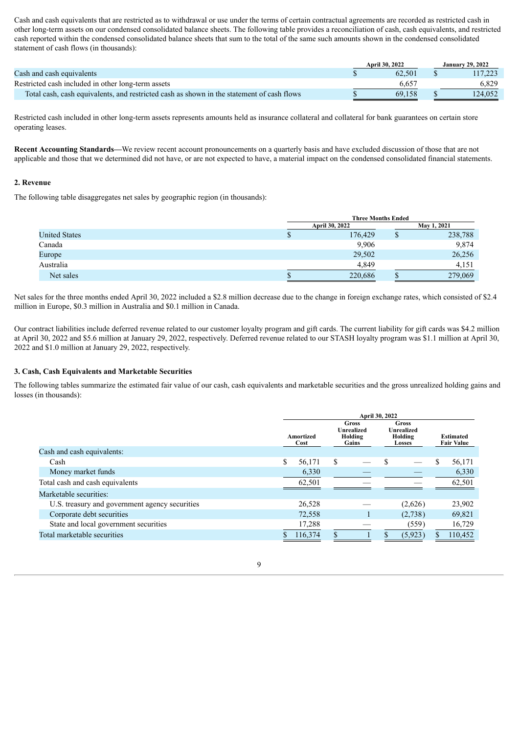Cash and cash equivalents that are restricted as to withdrawal or use under the terms of certain contractual agreements are recorded as restricted cash in other long-term assets on our condensed consolidated balance sheets. The following table provides a reconciliation of cash, cash equivalents, and restricted cash reported within the condensed consolidated balance sheets that sum to the total of the same such amounts shown in the condensed consolidated statement of cash flows (in thousands):

|                                                                                           | April 30, 2022 | <b>January 29, 2022</b> |
|-------------------------------------------------------------------------------------------|----------------|-------------------------|
| Cash and cash equivalents                                                                 | 62.501         |                         |
| Restricted cash included in other long-term assets                                        | 6.65           | 6.829                   |
| Total cash, cash equivalents, and restricted cash as shown in the statement of cash flows | 69.158         | 124.052                 |

Restricted cash included in other long-term assets represents amounts held as insurance collateral and collateral for bank guarantees on certain store operating leases.

**Recent Accounting Standards—**We review recent account pronouncements on a quarterly basis and have excluded discussion of those that are not applicable and those that we determined did not have, or are not expected to have, a material impact on the condensed consolidated financial statements.

#### **2. Revenue**

The following table disaggregates net sales by geographic region (in thousands):

|                      | <b>Three Months Ended</b> |   |             |  |  |  |
|----------------------|---------------------------|---|-------------|--|--|--|
|                      | April 30, 2022            |   | May 1, 2021 |  |  |  |
| <b>United States</b> | 176,429                   | Φ | 238,788     |  |  |  |
| Canada               | 9,906                     |   | 9,874       |  |  |  |
| Europe               | 29,502                    |   | 26,256      |  |  |  |
| Australia            | 4,849                     |   | 4,151       |  |  |  |
| Net sales            | 220,686                   |   | 279,069     |  |  |  |

Net sales for the three months ended April 30, 2022 included a \$2.8 million decrease due to the change in foreign exchange rates, which consisted of \$2.4 million in Europe, \$0.3 million in Australia and \$0.1 million in Canada.

Our contract liabilities include deferred revenue related to our customer loyalty program and gift cards. The current liability for gift cards was \$4.2 million at April 30, 2022 and \$5.6 million at January 29, 2022, respectively. Deferred revenue related to our STASH loyalty program was \$1.1 million at April 30, 2022 and \$1.0 million at January 29, 2022, respectively.

#### **3. Cash, Cash Equivalents and Marketable Securities**

The following tables summarize the estimated fair value of our cash, cash equivalents and marketable securities and the gross unrealized holding gains and losses (in thousands):

|                                                | April 30, 2022                                                      |         |   |                                                        |  |         |                                       |         |
|------------------------------------------------|---------------------------------------------------------------------|---------|---|--------------------------------------------------------|--|---------|---------------------------------------|---------|
|                                                | <b>Gross</b><br>Unrealized<br>Holding<br>Amortized<br>Gains<br>Cost |         |   | <b>Gross</b><br>Unrealized<br>Holding<br><b>Losses</b> |  |         | <b>Estimated</b><br><b>Fair Value</b> |         |
| Cash and cash equivalents:                     |                                                                     |         |   |                                                        |  |         |                                       |         |
| Cash                                           | \$                                                                  | 56,171  | S |                                                        |  |         |                                       | 56,171  |
| Money market funds                             |                                                                     | 6,330   |   |                                                        |  |         |                                       | 6,330   |
| Total cash and cash equivalents                |                                                                     | 62,501  |   |                                                        |  |         |                                       | 62,501  |
| Marketable securities:                         |                                                                     |         |   |                                                        |  |         |                                       |         |
| U.S. treasury and government agency securities |                                                                     | 26,528  |   |                                                        |  | (2,626) |                                       | 23,902  |
| Corporate debt securities                      |                                                                     | 72,558  |   |                                                        |  | (2,738) |                                       | 69,821  |
| State and local government securities          |                                                                     | 17,288  |   |                                                        |  | (559)   |                                       | 16,729  |
| Total marketable securities                    |                                                                     | 116,374 |   |                                                        |  | (5,923) |                                       | 110,452 |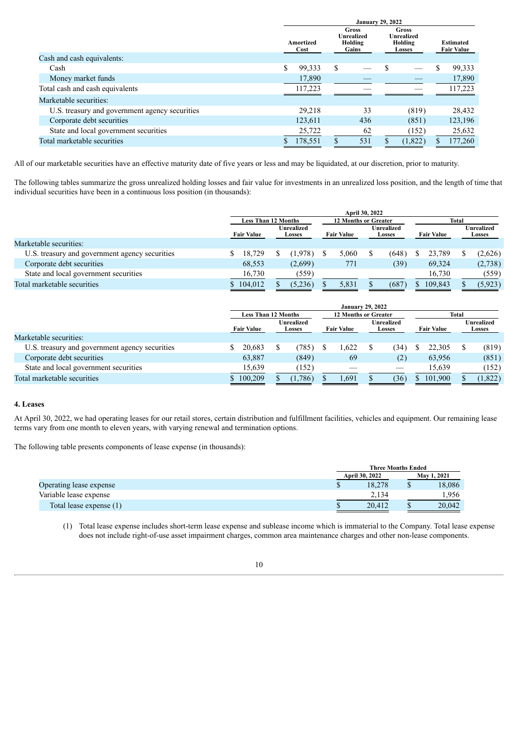|                                                | <b>January 29, 2022</b>                                                           |  |    |     |                                                        |         |    |         |                                       |
|------------------------------------------------|-----------------------------------------------------------------------------------|--|----|-----|--------------------------------------------------------|---------|----|---------|---------------------------------------|
|                                                | <b>Gross</b><br><b>Unrealized</b><br>Holding<br>Amortized<br><b>Gains</b><br>Cost |  |    |     | Gross<br><b>Unrealized</b><br>Holding<br><b>Losses</b> |         |    |         | <b>Estimated</b><br><b>Fair Value</b> |
| Cash and cash equivalents:                     |                                                                                   |  |    |     |                                                        |         |    |         |                                       |
| Cash                                           | \$<br>99,333                                                                      |  | \$ |     | \$                                                     |         | \$ | 99,333  |                                       |
| Money market funds                             | 17,890                                                                            |  |    |     |                                                        |         |    | 17,890  |                                       |
| Total cash and cash equivalents                | 117,223                                                                           |  |    |     |                                                        |         |    | 117,223 |                                       |
| Marketable securities:                         |                                                                                   |  |    |     |                                                        |         |    |         |                                       |
| U.S. treasury and government agency securities | 29,218                                                                            |  |    | 33  |                                                        | (819)   |    | 28,432  |                                       |
| Corporate debt securities                      | 123,611                                                                           |  |    | 436 |                                                        | (851)   |    | 123,196 |                                       |
| State and local government securities          | 25,722                                                                            |  |    | 62  |                                                        | (152)   |    | 25,632  |                                       |
| Total marketable securities                    | 178,551                                                                           |  |    | 531 |                                                        | (1,822) |    | 177,260 |                                       |

All of our marketable securities have an effective maturity date of five years or less and may be liquidated, at our discretion, prior to maturity.

The following tables summarize the gross unrealized holding losses and fair value for investments in an unrealized loss position, and the length of time that individual securities have been in a continuous loss position (in thousands):

|                                                |                   |                             |                   | <b>April 30, 2022</b> |                   |                      |  |
|------------------------------------------------|-------------------|-----------------------------|-------------------|-----------------------|-------------------|----------------------|--|
|                                                |                   | <b>Less Than 12 Months</b>  | Total             |                       |                   |                      |  |
|                                                | <b>Fair Value</b> | Unrealized<br><b>Losses</b> | <b>Fair Value</b> | Unrealized<br>Losses  | <b>Fair Value</b> | Unrealized<br>Losses |  |
| Marketable securities:                         |                   |                             |                   |                       |                   |                      |  |
| U.S. treasury and government agency securities | 18,729            | (1,978)                     | 5.060             | (648)                 | 23.789            | (2,626)              |  |
| Corporate debt securities                      | 68,553            | (2,699)                     | 771               | (39)                  | 69,324            | (2,738)              |  |
| State and local government securities          | 16,730            | (559)                       |                   |                       | 16,730            | (559)                |  |
| Total marketable securities                    | \$104,012         | (5,236)                     | 5,831             | (687                  | 109.843           | (5,923)              |  |

|                                                |                   |                             |         |                   |      | <b>January 29, 2022</b>     |       |                   |  |                             |
|------------------------------------------------|-------------------|-----------------------------|---------|-------------------|------|-----------------------------|-------|-------------------|--|-----------------------------|
|                                                |                   | <b>Less Than 12 Months</b>  |         |                   |      | <b>12 Months or Greater</b> | Total |                   |  |                             |
|                                                | <b>Fair Value</b> | Unrealized<br><b>Losses</b> |         | <b>Fair Value</b> |      | Unrealized<br><b>Losses</b> |       | <b>Fair Value</b> |  | Unrealized<br><b>Losses</b> |
| Marketable securities:                         |                   |                             |         |                   |      |                             |       |                   |  |                             |
| U.S. treasury and government agency securities | 20,683            |                             | (785)   |                   | .622 | '34'                        |       | 22.305            |  | (819)                       |
| Corporate debt securities                      | 63,887            |                             | (849)   |                   | 69   | (2)                         |       | 63,956            |  | (851)                       |
| State and local government securities          | 15,639            |                             | (152)   |                   |      |                             |       | 15,639            |  | (152)                       |
| Total marketable securities                    | 100,209           |                             | (1,786) |                   | .691 | (36)                        |       | 101,900           |  | (1,822)                     |

#### **4. Leases**

At April 30, 2022, we had operating leases for our retail stores, certain distribution and fulfillment facilities, vehicles and equipment. Our remaining lease terms vary from one month to eleven years, with varying renewal and termination options.

The following table presents components of lease expense (in thousands):

|                         | <b>Three Months Ended</b> |  |             |  |  |  |
|-------------------------|---------------------------|--|-------------|--|--|--|
|                         | April 30, 2022            |  | May 1, 2021 |  |  |  |
| Operating lease expense | 18.278                    |  | 18.086      |  |  |  |
| Variable lease expense  | 2.134                     |  | .956        |  |  |  |
| Total lease expense (1) | 20.412                    |  | 20,042      |  |  |  |

(1) Total lease expense includes short-term lease expense and sublease income which is immaterial to the Company. Total lease expense does not include right-of-use asset impairment charges, common area maintenance charges and other non-lease components.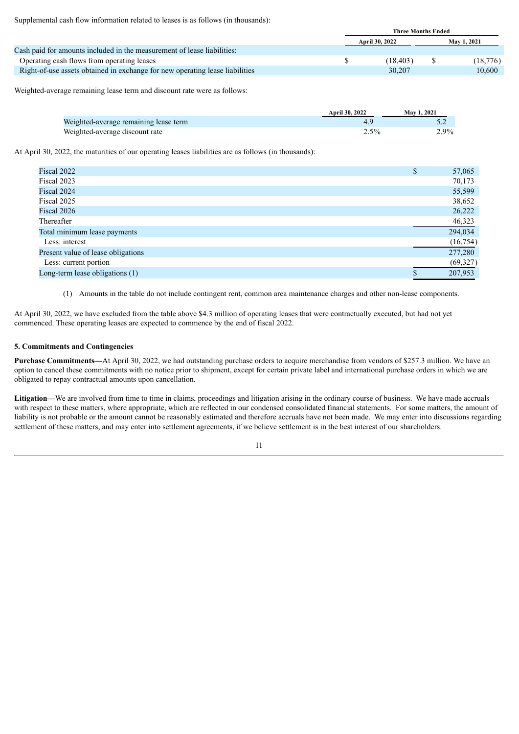Supplemental cash flow information related to leases is as follows (in thousands):

|                                                                              | <b>Three Months Ended</b> |          |  |             |  |  |
|------------------------------------------------------------------------------|---------------------------|----------|--|-------------|--|--|
|                                                                              | April 30, 2022            |          |  | May 1, 2021 |  |  |
| Cash paid for amounts included in the measurement of lease liabilities:      |                           |          |  |             |  |  |
| Operating cash flows from operating leases                                   |                           | (18.403) |  | (18.776)    |  |  |
| Right-of-use assets obtained in exchange for new operating lease liabilities |                           | 30.207   |  | 10.600      |  |  |

Weighted-average remaining lease term and discount rate were as follows:

|                                       | <b>April 30, 2022</b> | <b>May 1, 2021</b> |
|---------------------------------------|-----------------------|--------------------|
| Weighted-average remaining lease term |                       |                    |
| Weighted-average discount rate        | 2.5%                  | 2.9%               |

At April 30, 2022, the maturities of our operating leases liabilities are as follows (in thousands):

| Fiscal 2022                        | \$<br>57,065 |
|------------------------------------|--------------|
| Fiscal 2023                        | 70,173       |
| Fiscal 2024                        | 55,599       |
| Fiscal 2025                        | 38,652       |
| Fiscal 2026                        | 26,222       |
| Thereafter                         | 46,323       |
| Total minimum lease payments       | 294,034      |
| Less: interest                     | (16,754)     |
| Present value of lease obligations | 277,280      |
| Less: current portion              | (69, 327)    |
| Long-term lease obligations (1)    | 207,953      |

(1) Amounts in the table do not include contingent rent, common area maintenance charges and other non-lease components.

At April 30, 2022, we have excluded from the table above \$4.3 million of operating leases that were contractually executed, but had not yet commenced. These operating leases are expected to commence by the end of fiscal 2022.

#### **5. Commitments and Contingencies**

**Purchase Commitments—**At April 30, 2022, we had outstanding purchase orders to acquire merchandise from vendors of \$257.3 million. We have an option to cancel these commitments with no notice prior to shipment, except for certain private label and international purchase orders in which we are obligated to repay contractual amounts upon cancellation.

Litigation—We are involved from time to time in claims, proceedings and litigation arising in the ordinary course of business. We have made accruals with respect to these matters, where appropriate, which are reflected in our condensed consolidated financial statements. For some matters, the amount of liability is not probable or the amount cannot be reasonably estimated and therefore accruals have not been made. We may enter into discussions regarding settlement of these matters, and may enter into settlement agreements, if we believe settlement is in the best interest of our shareholders.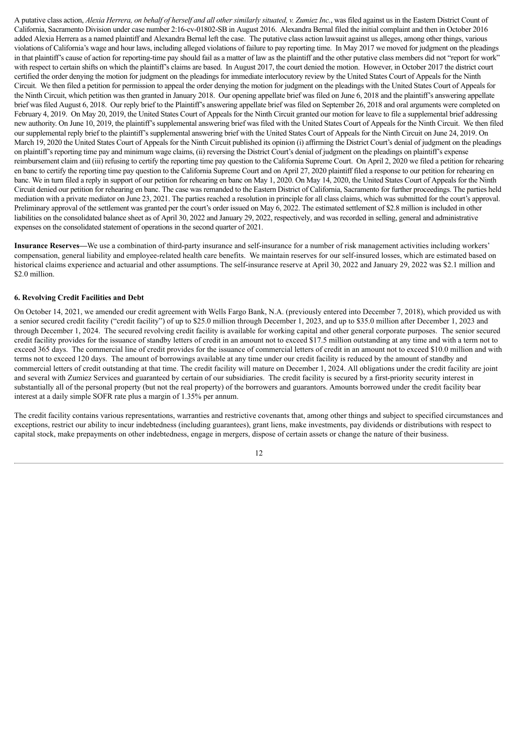A putative class action, Alexia Herrera, on behalf of herself and all other similarly situated, v. Zumiez Inc., was filed against us in the Eastern District Count of California, Sacramento Division under case number 2:16-cv-01802-SB in August 2016. Alexandra Bernal filed the initial complaint and then in October 2016 added Alexia Herrera as a named plaintiff and Alexandra Bernal left the case. The putative class action lawsuit against us alleges, among other things, various violations of California's wage and hour laws, including alleged violations of failure to pay reporting time. In May 2017 we moved for judgment on the pleadings in that plaintiff's cause of action for reporting-time pay should fail as a matter of law as the plaintiff and the other putative class members did not "report for work" with respect to certain shifts on which the plaintiff's claims are based. In August 2017, the court denied the motion. However, in October 2017 the district court certified the order denying the motion for judgment on the pleadings for immediate interlocutory review by the United States Court of Appeals for the Ninth Circuit. We then filed a petition for permission to appeal the order denying the motion for judgment on the pleadings with the United States Court of Appeals for the Ninth Circuit, which petition was then granted in January 2018. Our opening appellate brief was filed on June 6, 2018 and the plaintiff's answering appellate brief was filed August 6, 2018. Our reply brief to the Plaintiff's answering appellate brief was filed on September 26, 2018 and oral arguments were completed on February 4, 2019. On May 20, 2019, the United States Court of Appeals for the Ninth Circuit granted our motion for leave to file a supplemental brief addressing new authority. On June 10, 2019, the plaintiff's supplemental answering brief was filed with the United States Court of Appeals for the Ninth Circuit. We then filed our supplemental reply brief to the plaintiff's supplemental answering brief with the United States Court of Appeals for the Ninth Circuit on June 24, 2019. On March 19, 2020 the United States Court of Appeals for the Ninth Circuit published its opinion (i) affirming the District Court's denial of judgment on the pleadings on plaintiff's reporting time pay and minimum wage claims, (ii) reversing the District Court's denial of judgment on the pleadings on plaintiff's expense reimbursement claim and (iii) refusing to certify the reporting time pay question to the California Supreme Court. On April 2, 2020 we filed a petition for rehearing en banc to certify the reporting time pay question to the California Supreme Court and on April 27, 2020 plaintiff filed a response to our petition for rehearing en banc. We in turn filed a reply in support of our petition for rehearing en banc on May 1, 2020. On May 14, 2020, the United States Court of Appeals for the Ninth Circuit denied our petition for rehearing en banc. The case was remanded to the Eastern District of California, Sacramento for further proceedings. The parties held mediation with a private mediator on June 23, 2021. The parties reached a resolution in principle for all class claims, which was submitted for the court's approval. Preliminary approval of the settlement was granted per the court's order issued on May 6, 2022. The estimated settlement of \$2.8 million is included in other liabilities on the consolidated balance sheet as of April 30, 2022 and January 29, 2022, respectively, and was recorded in selling, general and administrative expenses on the consolidated statement of operations in the second quarter of 2021.

**Insurance Reserves—**We use a combination of third-party insurance and self-insurance for a number of risk management activities including workers' compensation, general liability and employee-related health care benefits. We maintain reserves for our self-insured losses, which are estimated based on historical claims experience and actuarial and other assumptions. The self-insurance reserve at April 30, 2022 and January 29, 2022 was \$2.1 million and \$2.0 million.

#### **6. Revolving Credit Facilities and Debt**

On October 14, 2021, we amended our credit agreement with Wells Fargo Bank, N.A. (previously entered into December 7, 2018), which provided us with a senior secured credit facility ("credit facility") of up to \$25.0 million through December 1, 2023, and up to \$35.0 million after December 1, 2023 and through December 1, 2024. The secured revolving credit facility is available for working capital and other general corporate purposes. The senior secured credit facility provides for the issuance of standby letters of credit in an amount not to exceed \$17.5 million outstanding at any time and with a term not to exceed 365 days. The commercial line of credit provides for the issuance of commercial letters of credit in an amount not to exceed \$10.0 million and with terms not to exceed 120 days. The amount of borrowings available at any time under our credit facility is reduced by the amount of standby and commercial letters of credit outstanding at that time. The credit facility will mature on December 1, 2024. All obligations under the credit facility are joint and several with Zumiez Services and guaranteed by certain of our subsidiaries. The credit facility is secured by a first-priority security interest in substantially all of the personal property (but not the real property) of the borrowers and guarantors. Amounts borrowed under the credit facility bear interest at a daily simple SOFR rate plus a margin of 1.35% per annum.

The credit facility contains various representations, warranties and restrictive covenants that, among other things and subject to specified circumstances and exceptions, restrict our ability to incur indebtedness (including guarantees), grant liens, make investments, pay dividends or distributions with respect to capital stock, make prepayments on other indebtedness, engage in mergers, dispose of certain assets or change the nature of their business.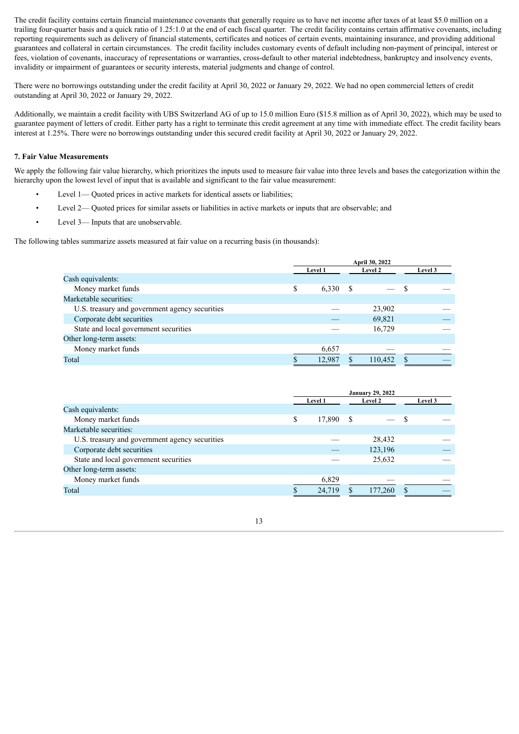The credit facility contains certain financial maintenance covenants that generally require us to have net income after taxes of at least \$5.0 million on a trailing four-quarter basis and a quick ratio of 1.25:1.0 at the end of each fiscal quarter. The credit facility contains certain affirmative covenants, including reporting requirements such as delivery of financial statements, certificates and notices of certain events, maintaining insurance, and providing additional guarantees and collateral in certain circumstances. The credit facility includes customary events of default including non-payment of principal, interest or fees, violation of covenants, inaccuracy of representations or warranties, cross-default to other material indebtedness, bankruptcy and insolvency events, invalidity or impairment of guarantees or security interests, material judgments and change of control.

There were no borrowings outstanding under the credit facility at April 30, 2022 or January 29, 2022. We had no open commercial letters of credit outstanding at April 30, 2022 or January 29, 2022.

Additionally, we maintain a credit facility with UBS Switzerland AG of up to 15.0 million Euro (\$15.8 million as of April 30, 2022), which may be used to guarantee payment of letters of credit. Either party has a right to terminate this credit agreement at any time with immediate effect. The credit facility bears interest at 1.25%. There were no borrowings outstanding under this secured credit facility at April 30, 2022 or January 29, 2022.

## **7. Fair Value Measurements**

We apply the following fair value hierarchy, which prioritizes the inputs used to measure fair value into three levels and bases the categorization within the hierarchy upon the lowest level of input that is available and significant to the fair value measurement:

- Level 1— Quoted prices in active markets for identical assets or liabilities;
- Level 2— Quoted prices for similar assets or liabilities in active markets or inputs that are observable; and
- Level 3- Inputs that are unobservable.

The following tables summarize assets measured at fair value on a recurring basis (in thousands):

|                                                | April 30, 2022 |                |  |                |    |         |  |
|------------------------------------------------|----------------|----------------|--|----------------|----|---------|--|
|                                                |                | <b>Level 1</b> |  | <b>Level 2</b> |    | Level 3 |  |
| Cash equivalents:                              |                |                |  |                |    |         |  |
| Money market funds                             | \$             | 6,330          |  |                | -S |         |  |
| Marketable securities:                         |                |                |  |                |    |         |  |
| U.S. treasury and government agency securities |                |                |  | 23,902         |    |         |  |
| Corporate debt securities                      |                |                |  | 69,821         |    |         |  |
| State and local government securities          |                |                |  | 16,729         |    |         |  |
| Other long-term assets:                        |                |                |  |                |    |         |  |
| Money market funds                             |                | 6,657          |  |                |    |         |  |
| Total                                          | \$             | 12.987         |  | 110.452        |    |         |  |

|                                                | <b>January 29, 2022</b> |        |                |                          |    |         |
|------------------------------------------------|-------------------------|--------|----------------|--------------------------|----|---------|
|                                                | <b>Level 1</b>          |        | <b>Level 2</b> |                          |    | Level 3 |
| Cash equivalents:                              |                         |        |                |                          |    |         |
| Money market funds                             | \$                      | 17,890 | - \$           | $\overline{\phantom{0}}$ | -S |         |
| Marketable securities:                         |                         |        |                |                          |    |         |
| U.S. treasury and government agency securities |                         |        |                | 28,432                   |    |         |
| Corporate debt securities                      |                         |        |                | 123,196                  |    |         |
| State and local government securities          |                         |        |                | 25,632                   |    |         |
| Other long-term assets:                        |                         |        |                |                          |    |         |
| Money market funds                             |                         | 6,829  |                |                          |    |         |
| Total                                          |                         | 24,719 |                | 177,260                  |    |         |

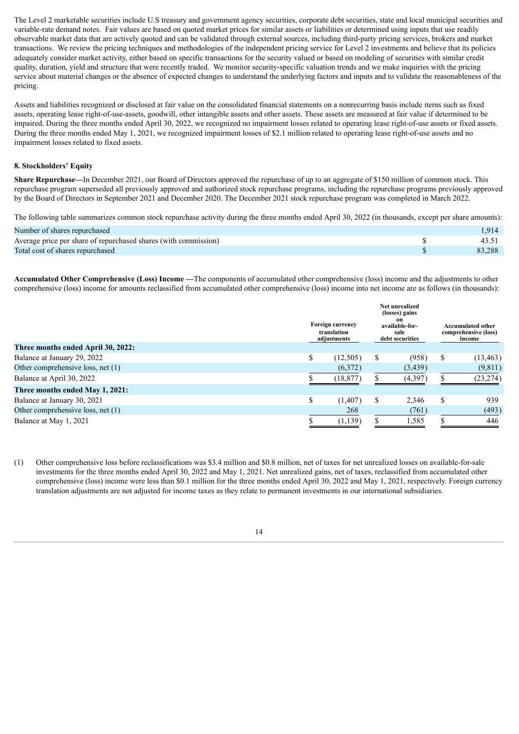The Level 2 marketable securities include U.S treasury and government agency securities, corporate debt securities, state and local municipal securities and variable-rate demand notes. Fair values are based on quoted market prices for similar assets or liabilities or determined using inputs that use readily observable market data that are actively quoted and can be validated through external sources, including third-party pricing services, brokers and market transactions. We review the pricing techniques and methodologies of the independent pricing service for Level 2 investments and believe that its policies adequately consider market activity, either based on specific transactions for the security valued or based on modeling of securities with similar credit quality, duration, yield and structure that were recently traded. We monitor security-specific valuation trends and we make inquiries with the pricing service about material changes or the absence of expected changes to understand the underlying factors and inputs and to validate the reasonableness of the pricing.

Assets and liabilities recognized or disclosed at fair value on the consolidated financial statements on a nonrecurring basis include items such as fixed assets, operating lease right-of-use-assets, goodwill, other intangible assets and other assets. These assets are measured at fair value if determined to be impaired. During the three months ended April 30, 2022, we recognized no impairment losses related to operating lease right-of-use assets or fixed assets. During the three months ended May 1, 2021, we recognized impairment losses of \$2.1 million related to operating lease right-of-use assets and no impairment losses related to fixed assets.

## **8. Stockholders' Equity**

**Share Repurchase—**In December 2021, our Board of Directors approved the repurchase of up to an aggregate of \$150 million of common stock. This repurchase program superseded all previously approved and authorized stock repurchase programs, including the repurchase programs previously approved by the Board of Directors in September 2021 and December 2020. The December 2021 stock repurchase program was completed in March 2022.

The following table summarizes common stock repurchase activity during the three months ended April 30, 2022 (in thousands, except per share amounts):

| Number of shares repurchased                                    |        |
|-----------------------------------------------------------------|--------|
| Average price per share of repurchased shares (with commission) |        |
| Total cost of shares repurchased                                | 83.288 |

**Accumulated Other Comprehensive (Loss) Income —**The components of accumulated other comprehensive (loss) income and the adjustments to other comprehensive (loss) income for amounts reclassified from accumulated other comprehensive (loss) income into net income are as follows (in thousands):

|                                     | <b>Foreign currency</b><br>translation<br>adjustments |           |    |         |   | <b>Accumulated other</b><br>comprehensive (loss)<br>income |
|-------------------------------------|-------------------------------------------------------|-----------|----|---------|---|------------------------------------------------------------|
| Three months ended April 30, 2022:  |                                                       |           |    |         |   |                                                            |
| Balance at January 29, 2022         | \$                                                    | (12,505)  | S  | (958)   | S | (13, 463)                                                  |
| Other comprehensive loss, net $(1)$ |                                                       | (6,372)   |    | (3,439) |   | (9,811)                                                    |
| Balance at April 30, 2022           |                                                       | (18, 877) |    | (4,397) |   | (23, 274)                                                  |
| Three months ended May 1, 2021:     |                                                       |           |    |         |   |                                                            |
| Balance at January 30, 2021         | \$                                                    | (1, 407)  | \$ | 2,346   | S | 939                                                        |
| Other comprehensive loss, net (1)   |                                                       | 268       |    | (761)   |   | (493)                                                      |
| Balance at May 1, 2021              |                                                       | (1, 139)  |    | 1,585   |   | 446                                                        |

(1) Other comprehensive loss before reclassifications was \$3.4 million and \$0.8 million, net of taxes for net unrealized losses on available-for-sale investments for the three months ended April 30, 2022 and May 1, 2021. Net unrealized gains, net of taxes, reclassified from accumulated other comprehensive (loss) income were less than \$0.1 million for the three months ended April 30, 2022 and May 1, 2021, respectively. Foreign currency translation adjustments are not adjusted for income taxes as they relate to permanent investments in our international subsidiaries.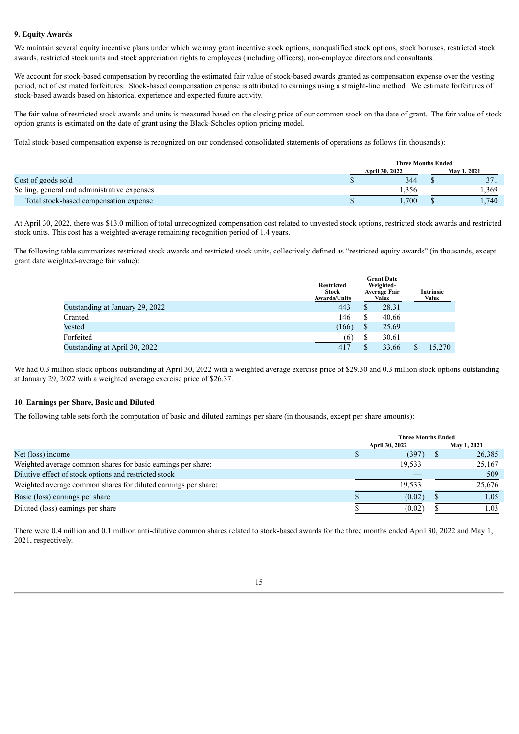## **9. Equity Awards**

We maintain several equity incentive plans under which we may grant incentive stock options, nonqualified stock options, stock bonuses, restricted stock awards, restricted stock units and stock appreciation rights to employees (including officers), non-employee directors and consultants.

We account for stock-based compensation by recording the estimated fair value of stock-based awards granted as compensation expense over the vesting period, net of estimated forfeitures. Stock-based compensation expense is attributed to earnings using a straight-line method. We estimate forfeitures of stock-based awards based on historical experience and expected future activity.

The fair value of restricted stock awards and units is measured based on the closing price of our common stock on the date of grant. The fair value of stock option grants is estimated on the date of grant using the Black-Scholes option pricing model.

Total stock-based compensation expense is recognized on our condensed consolidated statements of operations as follows (in thousands):

|                                              | <b>Three Months Ended</b> |                    |      |  |  |  |
|----------------------------------------------|---------------------------|--------------------|------|--|--|--|
|                                              | April 30, 2022            | <b>May 1, 2021</b> |      |  |  |  |
| Cost of goods sold                           | 344                       |                    |      |  |  |  |
| Selling, general and administrative expenses | 1,356                     |                    | .369 |  |  |  |
| Total stock-based compensation expense       | 1.700                     |                    | .740 |  |  |  |

At April 30, 2022, there was \$13.0 million of total unrecognized compensation cost related to unvested stock options, restricted stock awards and restricted stock units. This cost has a weighted-average remaining recognition period of 1.4 years.

The following table summarizes restricted stock awards and restricted stock units, collectively defined as "restricted equity awards" (in thousands, except grant date weighted-average fair value):

|                                 | <b>Restricted</b><br>Stock<br><b>Awards/Units</b> | <b>Grant Date</b><br>Weighted-<br><b>Average Fair</b><br>Value |       | <b>Intrinsic</b><br>Value |
|---------------------------------|---------------------------------------------------|----------------------------------------------------------------|-------|---------------------------|
| Outstanding at January 29, 2022 | 443                                               | S                                                              | 28.31 |                           |
| Granted                         | 146                                               | S                                                              | 40.66 |                           |
| Vested                          | (166)                                             | \$                                                             | 25.69 |                           |
| Forfeited                       | (6)                                               | \$                                                             | 30.61 |                           |
| Outstanding at April 30, 2022   | 417                                               | S                                                              | 33.66 | 15.270                    |

We had 0.3 million stock options outstanding at April 30, 2022 with a weighted average exercise price of \$29.30 and 0.3 million stock options outstanding at January 29, 2022 with a weighted average exercise price of \$26.37.

#### **10. Earnings per Share, Basic and Diluted**

The following table sets forth the computation of basic and diluted earnings per share (in thousands, except per share amounts):

|                                                                | <b>Three Months Ended</b> |             |        |  |
|----------------------------------------------------------------|---------------------------|-------------|--------|--|
|                                                                | April 30, 2022            | May 1, 2021 |        |  |
| Net (loss) income                                              | (397)                     |             | 26,385 |  |
| Weighted average common shares for basic earnings per share:   | 19,533                    |             | 25,167 |  |
| Dilutive effect of stock options and restricted stock          |                           |             | 509    |  |
| Weighted average common shares for diluted earnings per share: | 19.533                    |             | 25.676 |  |
| Basic (loss) earnings per share                                | (0.02)                    |             | 1.05   |  |
| Diluted (loss) earnings per share                              | (0.02)                    |             | 1.03   |  |

There were 0.4 million and 0.1 million anti-dilutive common shares related to stock-based awards for the three months ended April 30, 2022 and May 1, 2021, respectively.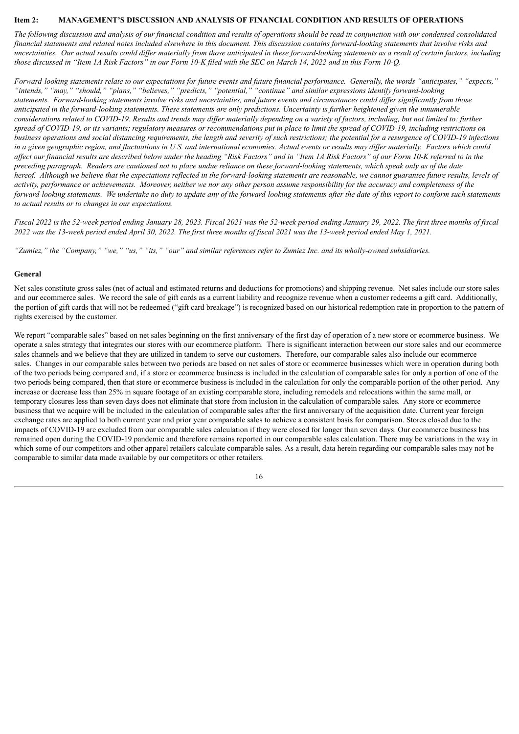#### <span id="page-15-0"></span>**Item 2: MANAGEMENT'S DISCUSSION AND ANALYSIS OF FINANCIAL CONDITION AND RESULTS OF OPERATIONS**

The following discussion and analysis of our financial condition and results of operations should be read in conjunction with our condensed consolidated financial statements and related notes included elsewhere in this document. This discussion contains forward-looking statements that involve risks and uncertainties. Our actual results could differ materially from those anticipated in these forward-looking statements as a result of certain factors, including those discussed in "Item 1A Risk Factors" in our Form 10-K filed with the SEC on March 14, 2022 and in this Form 10-O.

Forward-looking statements relate to our expectations for future events and future financial performance. Generally, the words "anticipates," "expects," *"intends," "may," "should," "plans," "believes," "predicts," "potential," "continue" and similar expressions identify forward-looking* statements. Forward-looking statements involve risks and uncertainties, and future events and circumstances could differ significantly from those anticipated in the forward-looking statements. These statements are only predictions. Uncertainty is further heightened given the innumerable considerations related to COVID-19. Results and trends may differ materially depending on a variety of factors, including, but not limited to: further spread of COVID-19, or its variants; regulatory measures or recommendations put in place to limit the spread of COVID-19, including restrictions on business operations and social distancing requirements, the length and severity of such restrictions; the potential for a resurgence of COVID-19 infections in a given geographic region, and fluctuations in U.S. and international economies. Actual events or results may differ materially. Factors which could affect our financial results are described below under the heading "Risk Factors" and in "Item 1A Risk Factors" of our Form 10-K referred to in the preceding paragraph. Readers are cautioned not to place undue reliance on these forward-looking statements, which speak only as of the date hereof. Although we believe that the expectations reflected in the forward-looking statements are reasonable, we cannot guarantee future results, levels of activity, performance or achievements. Moreover, neither we nor any other person assume responsibility for the accuracy and completeness of the forward-looking statements. We undertake no duty to update any of the forward-looking statements after the date of this report to conform such statements *to actual results or to changes in our expectations.*

Fiscal 2022 is the 52-week period ending January 28, 2023. Fiscal 2021 was the 52-week period ending January 29, 2022. The first three months of fiscal 2022 was the 13-week period ended April 30, 2022. The first three months of fiscal 2021 was the 13-week period ended May 1, 2021.

"Zumiez," the "Company," "we," "us," "its," "our" and similar references refer to Zumiez Inc. and its wholly-owned subsidiaries.

#### **General**

Net sales constitute gross sales (net of actual and estimated returns and deductions for promotions) and shipping revenue. Net sales include our store sales and our ecommerce sales. We record the sale of gift cards as a current liability and recognize revenue when a customer redeems a gift card. Additionally, the portion of gift cards that will not be redeemed ("gift card breakage") is recognized based on our historical redemption rate in proportion to the pattern of rights exercised by the customer.

We report "comparable sales" based on net sales beginning on the first anniversary of the first day of operation of a new store or ecommerce business. We operate a sales strategy that integrates our stores with our ecommerce platform. There is significant interaction between our store sales and our ecommerce sales channels and we believe that they are utilized in tandem to serve our customers. Therefore, our comparable sales also include our ecommerce sales. Changes in our comparable sales between two periods are based on net sales of store or ecommerce businesses which were in operation during both of the two periods being compared and, if a store or ecommerce business is included in the calculation of comparable sales for only a portion of one of the two periods being compared, then that store or ecommerce business is included in the calculation for only the comparable portion of the other period. Any increase or decrease less than 25% in square footage of an existing comparable store, including remodels and relocations within the same mall, or temporary closures less than seven days does not eliminate that store from inclusion in the calculation of comparable sales. Any store or ecommerce business that we acquire will be included in the calculation of comparable sales after the first anniversary of the acquisition date. Current year foreign exchange rates are applied to both current year and prior year comparable sales to achieve a consistent basis for comparison. Stores closed due to the impacts of COVID-19 are excluded from our comparable sales calculation if they were closed for longer than seven days. Our ecommerce business has remained open during the COVID-19 pandemic and therefore remains reported in our comparable sales calculation. There may be variations in the way in which some of our competitors and other apparel retailers calculate comparable sales. As a result, data herein regarding our comparable sales may not be comparable to similar data made available by our competitors or other retailers.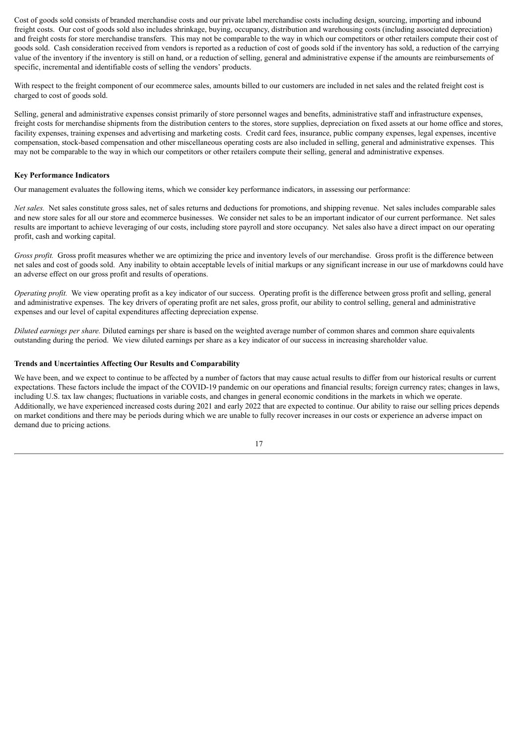Cost of goods sold consists of branded merchandise costs and our private label merchandise costs including design, sourcing, importing and inbound freight costs. Our cost of goods sold also includes shrinkage, buying, occupancy, distribution and warehousing costs (including associated depreciation) and freight costs for store merchandise transfers. This may not be comparable to the way in which our competitors or other retailers compute their cost of goods sold. Cash consideration received from vendors is reported as a reduction of cost of goods sold if the inventory has sold, a reduction of the carrying value of the inventory if the inventory is still on hand, or a reduction of selling, general and administrative expense if the amounts are reimbursements of specific, incremental and identifiable costs of selling the vendors' products.

With respect to the freight component of our ecommerce sales, amounts billed to our customers are included in net sales and the related freight cost is charged to cost of goods sold.

Selling, general and administrative expenses consist primarily of store personnel wages and benefits, administrative staff and infrastructure expenses, freight costs for merchandise shipments from the distribution centers to the stores, store supplies, depreciation on fixed assets at our home office and stores, facility expenses, training expenses and advertising and marketing costs. Credit card fees, insurance, public company expenses, legal expenses, incentive compensation, stock-based compensation and other miscellaneous operating costs are also included in selling, general and administrative expenses. This may not be comparable to the way in which our competitors or other retailers compute their selling, general and administrative expenses.

#### **Key Performance Indicators**

Our management evaluates the following items, which we consider key performance indicators, in assessing our performance:

*Net sales.* Net sales constitute gross sales, net of sales returns and deductions for promotions, and shipping revenue. Net sales includes comparable sales and new store sales for all our store and ecommerce businesses. We consider net sales to be an important indicator of our current performance. Net sales results are important to achieve leveraging of our costs, including store payroll and store occupancy. Net sales also have a direct impact on our operating profit, cash and working capital.

*Gross profit.* Gross profit measures whether we are optimizing the price and inventory levels of our merchandise. Gross profit is the difference between net sales and cost of goods sold. Any inability to obtain acceptable levels of initial markups or any significant increase in our use of markdowns could have an adverse effect on our gross profit and results of operations.

*Operating profit.* We view operating profit as a key indicator of our success. Operating profit is the difference between gross profit and selling, general and administrative expenses. The key drivers of operating profit are net sales, gross profit, our ability to control selling, general and administrative expenses and our level of capital expenditures affecting depreciation expense.

*Diluted earnings per share.* Diluted earnings per share is based on the weighted average number of common shares and common share equivalents outstanding during the period. We view diluted earnings per share as a key indicator of our success in increasing shareholder value.

## **Trends and Uncertainties Affecting Our Results and Comparability**

We have been, and we expect to continue to be affected by a number of factors that may cause actual results to differ from our historical results or current expectations. These factors include the impact of the COVID-19 pandemic on our operations and financial results; foreign currency rates; changes in laws, including U.S. tax law changes; fluctuations in variable costs, and changes in general economic conditions in the markets in which we operate. Additionally, we have experienced increased costs during 2021 and early 2022 that are expected to continue. Our ability to raise our selling prices depends on market conditions and there may be periods during which we are unable to fully recover increases in our costs or experience an adverse impact on demand due to pricing actions.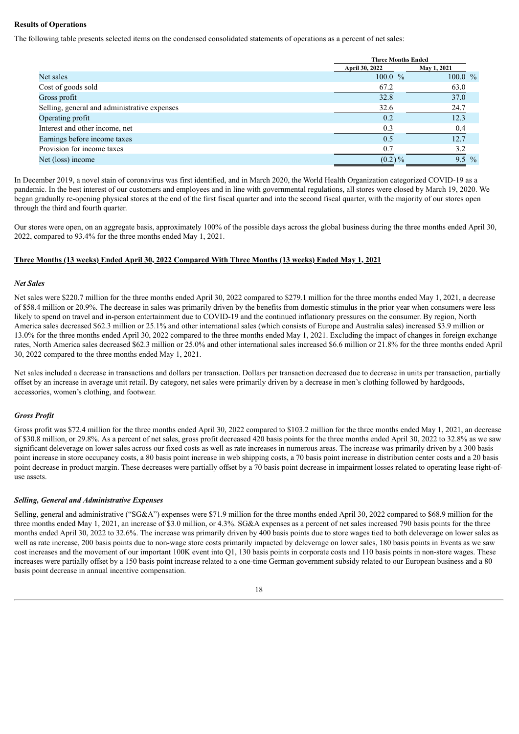## **Results of Operations**

The following table presents selected items on the condensed consolidated statements of operations as a percent of net sales:

|                                              | <b>Three Months Ended</b> |             |         |  |
|----------------------------------------------|---------------------------|-------------|---------|--|
|                                              | April 30, 2022            | May 1, 2021 |         |  |
| Net sales                                    | $100.0 \%$                | $100.0 \%$  |         |  |
| Cost of goods sold                           | 67.2                      | 63.0        |         |  |
| Gross profit                                 | 32.8                      | 37.0        |         |  |
| Selling, general and administrative expenses | 32.6                      | 24.7        |         |  |
| Operating profit                             | 0.2                       | 12.3        |         |  |
| Interest and other income, net               | 0.3                       | 0.4         |         |  |
| Earnings before income taxes                 | 0.5                       | 12.7        |         |  |
| Provision for income taxes                   | 0.7                       | 3.2         |         |  |
| Net (loss) income                            | $(0.2)\%$                 |             | $9.5\%$ |  |

In December 2019, a novel stain of coronavirus was first identified, and in March 2020, the World Health Organization categorized COVID-19 as a pandemic. In the best interest of our customers and employees and in line with governmental regulations, all stores were closed by March 19, 2020. We began gradually re-opening physical stores at the end of the first fiscal quarter and into the second fiscal quarter, with the majority of our stores open through the third and fourth quarter.

Our stores were open, on an aggregate basis, approximately 100% of the possible days across the global business during the three months ended April 30, 2022, compared to 93.4% for the three months ended May 1, 2021.

#### Three Months (13 weeks) Ended April 30, 2022 Compared With Three Months (13 weeks) Ended May 1, 2021

#### *Net Sales*

Net sales were \$220.7 million for the three months ended April 30, 2022 compared to \$279.1 million for the three months ended May 1, 2021, a decrease of \$58.4 million or 20.9%. The decrease in sales was primarily driven by the benefits from domestic stimulus in the prior year when consumers were less likely to spend on travel and in-person entertainment due to COVID-19 and the continued inflationary pressures on the consumer. By region, North America sales decreased \$62.3 million or 25.1% and other international sales (which consists of Europe and Australia sales) increased \$3.9 million or 13.0% for the three months ended April 30, 2022 compared to the three months ended May 1, 2021. Excluding the impact of changes in foreign exchange rates, North America sales decreased \$62.3 million or 25.0% and other international sales increased \$6.6 million or 21.8% for the three months ended April 30, 2022 compared to the three months ended May 1, 2021.

Net sales included a decrease in transactions and dollars per transaction. Dollars per transaction decreased due to decrease in units per transaction, partially offset by an increase in average unit retail. By category, net sales were primarily driven by a decrease in men's clothing followed by hardgoods, accessories, women's clothing, and footwear.

#### *Gross Profit*

Gross profit was \$72.4 million for the three months ended April 30, 2022 compared to \$103.2 million for the three months ended May 1, 2021, an decrease of \$30.8 million, or 29.8%. As a percent of net sales, gross profit decreased 420 basis points for the three months ended April 30, 2022 to 32.8% as we saw significant deleverage on lower sales across our fixed costs as well as rate increases in numerous areas. The increase was primarily driven by a 300 basis point increase in store occupancy costs, a 80 basis point increase in web shipping costs, a 70 basis point increase in distribution center costs and a 20 basis point decrease in product margin. These decreases were partially offset by a 70 basis point decrease in impairment losses related to operating lease right-ofuse assets.

#### *Selling, General and Administrative Expenses*

Selling, general and administrative ("SG&A") expenses were \$71.9 million for the three months ended April 30, 2022 compared to \$68.9 million for the three months ended May 1, 2021, an increase of \$3.0 million, or 4.3%. SG&A expenses as a percent of net sales increased 790 basis points for the three months ended April 30, 2022 to 32.6%. The increase was primarily driven by 400 basis points due to store wages tied to both deleverage on lower sales as well as rate increase, 200 basis points due to non-wage store costs primarily impacted by deleverage on lower sales, 180 basis points in Events as we saw cost increases and the movement of our important 100K event into Q1, 130 basis points in corporate costs and 110 basis points in non-store wages. These increases were partially offset by a 150 basis point increase related to a one-time German government subsidy related to our European business and a 80 basis point decrease in annual incentive compensation.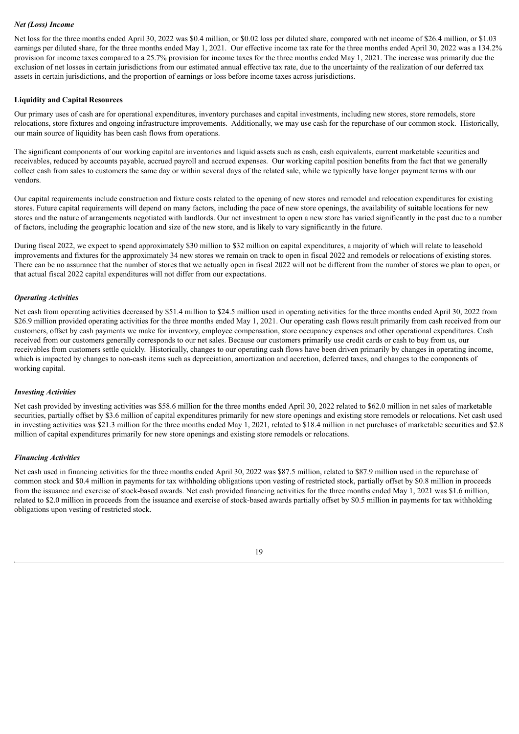## *Net (Loss) Income*

Net loss for the three months ended April 30, 2022 was \$0.4 million, or \$0.02 loss per diluted share, compared with net income of \$26.4 million, or \$1.03 earnings per diluted share, for the three months ended May 1, 2021. Our effective income tax rate for the three months ended April 30, 2022 was a 134.2% provision for income taxes compared to a 25.7% provision for income taxes for the three months ended May 1, 2021. The increase was primarily due the exclusion of net losses in certain jurisdictions from our estimated annual effective tax rate, due to the uncertainty of the realization of our deferred tax assets in certain jurisdictions, and the proportion of earnings or loss before income taxes across jurisdictions.

#### **Liquidity and Capital Resources**

Our primary uses of cash are for operational expenditures, inventory purchases and capital investments, including new stores, store remodels, store relocations, store fixtures and ongoing infrastructure improvements. Additionally, we may use cash for the repurchase of our common stock. Historically, our main source of liquidity has been cash flows from operations.

The significant components of our working capital are inventories and liquid assets such as cash, cash equivalents, current marketable securities and receivables, reduced by accounts payable, accrued payroll and accrued expenses. Our working capital position benefits from the fact that we generally collect cash from sales to customers the same day or within several days of the related sale, while we typically have longer payment terms with our vendors.

Our capital requirements include construction and fixture costs related to the opening of new stores and remodel and relocation expenditures for existing stores. Future capital requirements will depend on many factors, including the pace of new store openings, the availability of suitable locations for new stores and the nature of arrangements negotiated with landlords. Our net investment to open a new store has varied significantly in the past due to a number of factors, including the geographic location and size of the new store, and is likely to vary significantly in the future.

During fiscal 2022, we expect to spend approximately \$30 million to \$32 million on capital expenditures, a majority of which will relate to leasehold improvements and fixtures for the approximately 34 new stores we remain on track to open in fiscal 2022 and remodels or relocations of existing stores. There can be no assurance that the number of stores that we actually open in fiscal 2022 will not be different from the number of stores we plan to open, or that actual fiscal 2022 capital expenditures will not differ from our expectations.

## *Operating Activities*

Net cash from operating activities decreased by \$51.4 million to \$24.5 million used in operating activities for the three months ended April 30, 2022 from \$26.9 million provided operating activities for the three months ended May 1, 2021. Our operating cash flows result primarily from cash received from our customers, offset by cash payments we make for inventory, employee compensation, store occupancy expenses and other operational expenditures. Cash received from our customers generally corresponds to our net sales. Because our customers primarily use credit cards or cash to buy from us, our receivables from customers settle quickly. Historically, changes to our operating cash flows have been driven primarily by changes in operating income, which is impacted by changes to non-cash items such as depreciation, amortization and accretion, deferred taxes, and changes to the components of working capital.

## *Investing Activities*

Net cash provided by investing activities was \$58.6 million for the three months ended April 30, 2022 related to \$62.0 million in net sales of marketable securities, partially offset by \$3.6 million of capital expenditures primarily for new store openings and existing store remodels or relocations. Net cash used in investing activities was \$21.3 million for the three months ended May 1, 2021, related to \$18.4 million in net purchases of marketable securities and \$2.8 million of capital expenditures primarily for new store openings and existing store remodels or relocations.

## *Financing Activities*

Net cash used in financing activities for the three months ended April 30, 2022 was \$87.5 million, related to \$87.9 million used in the repurchase of common stock and \$0.4 million in payments for tax withholding obligations upon vesting of restricted stock, partially offset by \$0.8 million in proceeds from the issuance and exercise of stock-based awards. Net cash provided financing activities for the three months ended May 1, 2021 was \$1.6 million, related to \$2.0 million in proceeds from the issuance and exercise of stock-based awards partially offset by \$0.5 million in payments for tax withholding obligations upon vesting of restricted stock.

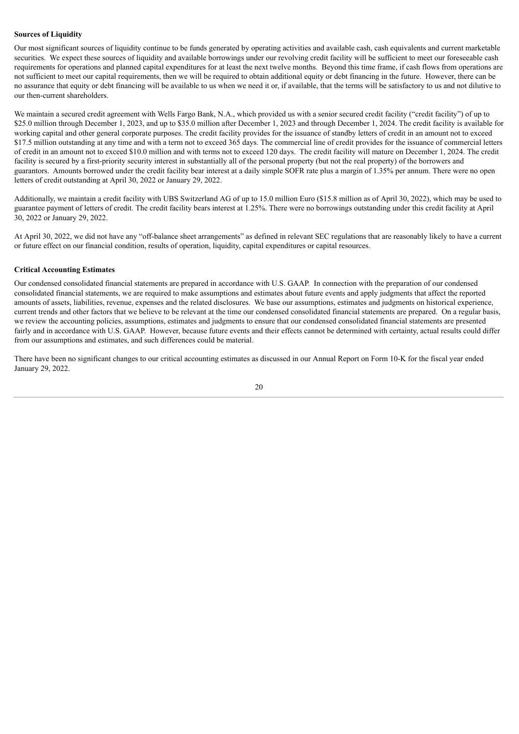## **Sources of Liquidity**

Our most significant sources of liquidity continue to be funds generated by operating activities and available cash, cash equivalents and current marketable securities. We expect these sources of liquidity and available borrowings under our revolving credit facility will be sufficient to meet our foreseeable cash requirements for operations and planned capital expenditures for at least the next twelve months. Beyond this time frame, if cash flows from operations are not sufficient to meet our capital requirements, then we will be required to obtain additional equity or debt financing in the future. However, there can be no assurance that equity or debt financing will be available to us when we need it or, if available, that the terms will be satisfactory to us and not dilutive to our then-current shareholders.

We maintain a secured credit agreement with Wells Fargo Bank, N.A., which provided us with a senior secured credit facility ("credit facility") of up to \$25.0 million through December 1, 2023, and up to \$35.0 million after December 1, 2023 and through December 1, 2024. The credit facility is available for working capital and other general corporate purposes. The credit facility provides for the issuance of standby letters of credit in an amount not to exceed \$17.5 million outstanding at any time and with a term not to exceed 365 days. The commercial line of credit provides for the issuance of commercial letters of credit in an amount not to exceed \$10.0 million and with terms not to exceed 120 days. The credit facility will mature on December 1, 2024. The credit facility is secured by a first-priority security interest in substantially all of the personal property (but not the real property) of the borrowers and guarantors. Amounts borrowed under the credit facility bear interest at a daily simple SOFR rate plus a margin of 1.35% per annum. There were no open letters of credit outstanding at April 30, 2022 or January 29, 2022.

Additionally, we maintain a credit facility with UBS Switzerland AG of up to 15.0 million Euro (\$15.8 million as of April 30, 2022), which may be used to guarantee payment of letters of credit. The credit facility bears interest at 1.25%. There were no borrowings outstanding under this credit facility at April 30, 2022 or January 29, 2022.

At April 30, 2022, we did not have any "off-balance sheet arrangements" as defined in relevant SEC regulations that are reasonably likely to have a current or future effect on our financial condition, results of operation, liquidity, capital expenditures or capital resources.

#### **Critical Accounting Estimates**

Our condensed consolidated financial statements are prepared in accordance with U.S. GAAP. In connection with the preparation of our condensed consolidated financial statements, we are required to make assumptions and estimates about future events and apply judgments that affect the reported amounts of assets, liabilities, revenue, expenses and the related disclosures. We base our assumptions, estimates and judgments on historical experience, current trends and other factors that we believe to be relevant at the time our condensed consolidated financial statements are prepared. On a regular basis, we review the accounting policies, assumptions, estimates and judgments to ensure that our condensed consolidated financial statements are presented fairly and in accordance with U.S. GAAP. However, because future events and their effects cannot be determined with certainty, actual results could differ from our assumptions and estimates, and such differences could be material.

There have been no significant changes to our critical accounting estimates as discussed in our Annual Report on Form 10-K for the fiscal year ended January 29, 2022.

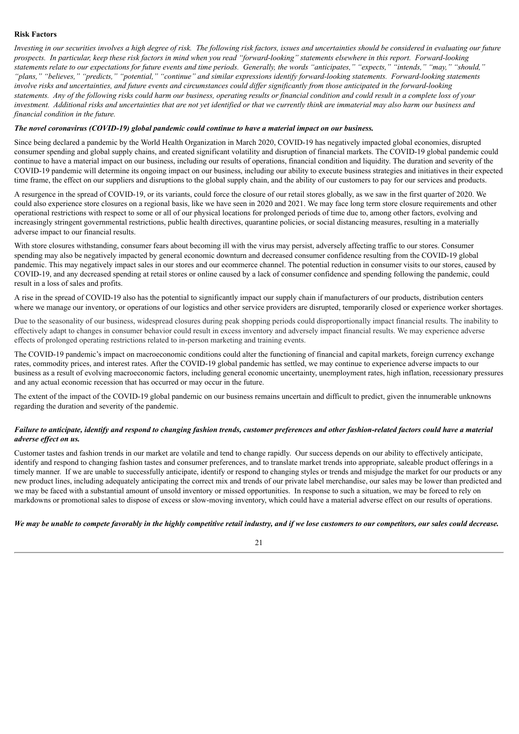## **Risk Factors**

Investing in our securities involves a high degree of risk. The following risk factors, issues and uncertainties should be considered in evaluating our future prospects. In particular, keep these risk factors in mind when you read "forward-looking" statements elsewhere in this report. Forward-looking statements relate to our expectations for future events and time periods. Generally, the words "anticipates," "expects," "intends," "may," "should," "plans," "believes," "predicts," "potential," "continue" and similar expressions identify forward-looking statements. Forward-looking statements involve risks and uncertainties, and future events and circumstances could differ significantly from those anticipated in the forward-looking statements. Any of the following risks could harm our business, operating results or financial condition and could result in a complete loss of your investment. Additional risks and uncertainties that are not yet identified or that we currently think are immaterial may also harm our business and *financial condition in the future.*

## *The novel coronavirus (COVID-19) global pandemic could continue to have a material impact on our business.*

Since being declared a pandemic by the World Health Organization in March 2020, COVID-19 has negatively impacted global economies, disrupted consumer spending and global supply chains, and created significant volatility and disruption of financial markets. The COVID-19 global pandemic could continue to have a material impact on our business, including our results of operations, financial condition and liquidity. The duration and severity of the COVID-19 pandemic will determine its ongoing impact on our business, including our ability to execute business strategies and initiatives in their expected time frame, the effect on our suppliers and disruptions to the global supply chain, and the ability of our customers to pay for our services and products.

A resurgence in the spread of COVID-19, or its variants, could force the closure of our retail stores globally, as we saw in the first quarter of 2020. We could also experience store closures on a regional basis, like we have seen in 2020 and 2021. We may face long term store closure requirements and other operational restrictions with respect to some or all of our physical locations for prolonged periods of time due to, among other factors, evolving and increasingly stringent governmental restrictions, public health directives, quarantine policies, or social distancing measures, resulting in a materially adverse impact to our financial results.

With store closures withstanding, consumer fears about becoming ill with the virus may persist, adversely affecting traffic to our stores. Consumer spending may also be negatively impacted by general economic downturn and decreased consumer confidence resulting from the COVID-19 global pandemic. This may negatively impact sales in our stores and our ecommerce channel. The potential reduction in consumer visits to our stores, caused by COVID-19, and any decreased spending at retail stores or online caused by a lack of consumer confidence and spending following the pandemic, could result in a loss of sales and profits.

A rise in the spread of COVID-19 also has the potential to significantly impact our supply chain if manufacturers of our products, distribution centers where we manage our inventory, or operations of our logistics and other service providers are disrupted, temporarily closed or experience worker shortages.

Due to the seasonality of our business, widespread closures during peak shopping periods could disproportionally impact financial results. The inability to effectively adapt to changes in consumer behavior could result in excess inventory and adversely impact financial results. We may experience adverse effects of prolonged operating restrictions related to in-person marketing and training events.

The COVID-19 pandemic's impact on macroeconomic conditions could alter the functioning of financial and capital markets, foreign currency exchange rates, commodity prices, and interest rates. After the COVID-19 global pandemic has settled, we may continue to experience adverse impacts to our business as a result of evolving macroeconomic factors, including general economic uncertainty, unemployment rates, high inflation, recessionary pressures and any actual economic recession that has occurred or may occur in the future.

The extent of the impact of the COVID-19 global pandemic on our business remains uncertain and difficult to predict, given the innumerable unknowns regarding the duration and severity of the pandemic.

## Failure to anticipate, identify and respond to changing fashion trends, customer preferences and other fashion-related factors could have a material *adverse ef ect on us.*

Customer tastes and fashion trends in our market are volatile and tend to change rapidly. Our success depends on our ability to effectively anticipate, identify and respond to changing fashion tastes and consumer preferences, and to translate market trends into appropriate, saleable product offerings in a timely manner. If we are unable to successfully anticipate, identify or respond to changing styles or trends and misjudge the market for our products or any new product lines, including adequately anticipating the correct mix and trends of our private label merchandise, our sales may be lower than predicted and we may be faced with a substantial amount of unsold inventory or missed opportunities. In response to such a situation, we may be forced to rely on markdowns or promotional sales to dispose of excess or slow-moving inventory, which could have a material adverse effect on our results of operations.

## We may be unable to compete favorably in the highly competitive retail industry, and if we lose customers to our competitors, our sales could decrease,

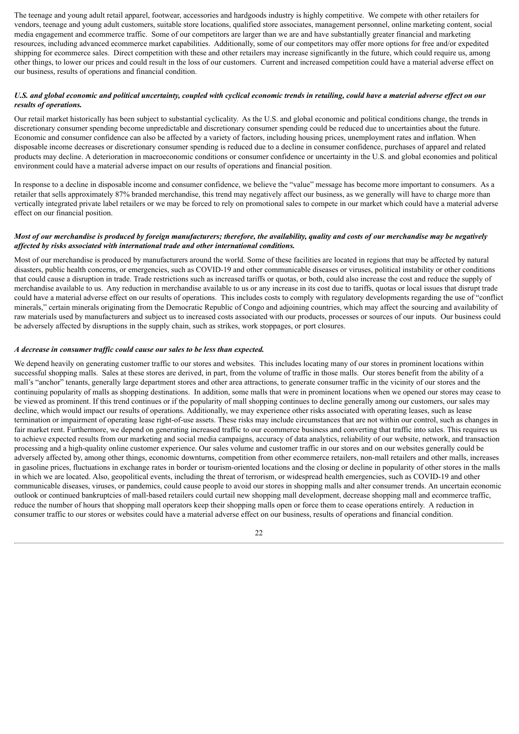The teenage and young adult retail apparel, footwear, accessories and hardgoods industry is highly competitive. We compete with other retailers for vendors, teenage and young adult customers, suitable store locations, qualified store associates, management personnel, online marketing content, social media engagement and ecommerce traffic. Some of our competitors are larger than we are and have substantially greater financial and marketing resources, including advanced ecommerce market capabilities. Additionally, some of our competitors may offer more options for free and/or expedited shipping for ecommerce sales. Direct competition with these and other retailers may increase significantly in the future, which could require us, among other things, to lower our prices and could result in the loss of our customers. Current and increased competition could have a material adverse effect on our business, results of operations and financial condition.

## U.S. and global economic and political uncertainty, coupled with cyclical economic trends in retailing, could have a material adverse effect on our *results of operations.*

Our retail market historically has been subject to substantial cyclicality. As the U.S. and global economic and political conditions change, the trends in discretionary consumer spending become unpredictable and discretionary consumer spending could be reduced due to uncertainties about the future. Economic and consumer confidence can also be affected by a variety of factors, including housing prices, unemployment rates and inflation. When disposable income decreases or discretionary consumer spending is reduced due to a decline in consumer confidence, purchases of apparel and related products may decline. A deterioration in macroeconomic conditions or consumer confidence or uncertainty in the U.S. and global economies and political environment could have a material adverse impact on our results of operations and financial position.

In response to a decline in disposable income and consumer confidence, we believe the "value" message has become more important to consumers. As a retailer that sells approximately 87% branded merchandise, this trend may negatively affect our business, as we generally will have to charge more than vertically integrated private label retailers or we may be forced to rely on promotional sales to compete in our market which could have a material adverse effect on our financial position.

#### Most of our merchandise is produced by foreign manufacturers; therefore, the availability, quality and costs of our merchandise may be negatively *af ected by risks associated with international trade and other international conditions.*

Most of our merchandise is produced by manufacturers around the world. Some of these facilities are located in regions that may be affected by natural disasters, public health concerns, or emergencies, such as COVID-19 and other communicable diseases or viruses, political instability or other conditions that could cause a disruption in trade. Trade restrictions such as increased tariffs or quotas, or both, could also increase the cost and reduce the supply of merchandise available to us. Any reduction in merchandise available to us or any increase in its cost due to tariffs, quotas or local issues that disrupt trade could have a material adverse effect on our results of operations. This includes costs to comply with regulatory developments regarding the use of "conflict minerals," certain minerals originating from the Democratic Republic of Congo and adjoining countries, which may affect the sourcing and availability of raw materials used by manufacturers and subject us to increased costs associated with our products, processes or sources of our inputs. Our business could be adversely affected by disruptions in the supply chain, such as strikes, work stoppages, or port closures.

## *A decrease in consumer traf ic could cause our sales to be less than expected.*

We depend heavily on generating customer traffic to our stores and websites. This includes locating many of our stores in prominent locations within successful shopping malls. Sales at these stores are derived, in part, from the volume of traffic in those malls. Our stores benefit from the ability of a mall's "anchor" tenants, generally large department stores and other area attractions, to generate consumer traffic in the vicinity of our stores and the continuing popularity of malls as shopping destinations. In addition, some malls that were in prominent locations when we opened our stores may cease to be viewed as prominent. If this trend continues or if the popularity of mall shopping continues to decline generally among our customers, our sales may decline, which would impact our results of operations. Additionally, we may experience other risks associated with operating leases, such as lease termination or impairment of operating lease right-of-use assets. These risks may include circumstances that are not within our control, such as changes in fair market rent. Furthermore, we depend on generating increased traffic to our ecommerce business and converting that traffic into sales. This requires us to achieve expected results from our marketing and social media campaigns, accuracy of data analytics, reliability of our website, network, and transaction processing and a high-quality online customer experience. Our sales volume and customer traffic in our stores and on our websites generally could be adversely affected by, among other things, economic downturns, competition from other ecommerce retailers, non-mall retailers and other malls, increases in gasoline prices, fluctuations in exchange rates in border or tourism-oriented locations and the closing or decline in popularity of other stores in the malls in which we are located. Also, geopolitical events, including the threat of terrorism, or widespread health emergencies, such as COVID-19 and other communicable diseases, viruses, or pandemics, could cause people to avoid our stores in shopping malls and alter consumer trends. An uncertain economic outlook or continued bankruptcies of mall-based retailers could curtail new shopping mall development, decrease shopping mall and ecommerce traffic, reduce the number of hours that shopping mall operators keep their shopping malls open or force them to cease operations entirely. A reduction in consumer traffic to our stores or websites could have a material adverse effect on our business, results of operations and financial condition.

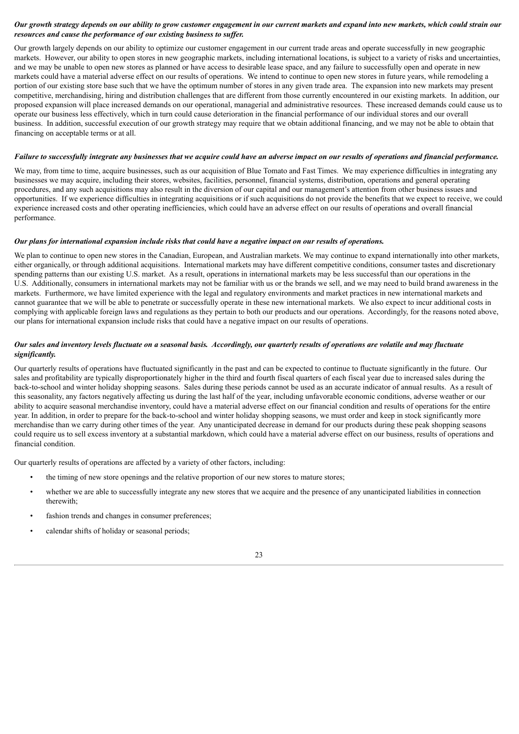## Our growth strategy depends on our ability to grow customer engagement in our current markets and expand into new markets, which could strain our *resources* and cause the performance of our existing business to suffer.

Our growth largely depends on our ability to optimize our customer engagement in our current trade areas and operate successfully in new geographic markets. However, our ability to open stores in new geographic markets, including international locations, is subject to a variety of risks and uncertainties, and we may be unable to open new stores as planned or have access to desirable lease space, and any failure to successfully open and operate in new markets could have a material adverse effect on our results of operations. We intend to continue to open new stores in future years, while remodeling a portion of our existing store base such that we have the optimum number of stores in any given trade area. The expansion into new markets may present competitive, merchandising, hiring and distribution challenges that are different from those currently encountered in our existing markets. In addition, our proposed expansion will place increased demands on our operational, managerial and administrative resources. These increased demands could cause us to operate our business less effectively, which in turn could cause deterioration in the financial performance of our individual stores and our overall business. In addition, successful execution of our growth strategy may require that we obtain additional financing, and we may not be able to obtain that financing on acceptable terms or at all.

#### Failure to successfully integrate any businesses that we acquire could have an adverse impact on our results of operations and financial performance.

We may, from time to time, acquire businesses, such as our acquisition of Blue Tomato and Fast Times. We may experience difficulties in integrating any businesses we may acquire, including their stores, websites, facilities, personnel, financial systems, distribution, operations and general operating procedures, and any such acquisitions may also result in the diversion of our capital and our management's attention from other business issues and opportunities. If we experience difficulties in integrating acquisitions or if such acquisitions do not provide the benefits that we expect to receive, we could experience increased costs and other operating inefficiencies, which could have an adverse effect on our results of operations and overall financial performance.

#### Our plans for international expansion include risks that could have a negative impact on our results of operations.

We plan to continue to open new stores in the Canadian, European, and Australian markets. We may continue to expand internationally into other markets, either organically, or through additional acquisitions. International markets may have different competitive conditions, consumer tastes and discretionary spending patterns than our existing U.S. market. As a result, operations in international markets may be less successful than our operations in the U.S. Additionally, consumers in international markets may not be familiar with us or the brands we sell, and we may need to build brand awareness in the markets. Furthermore, we have limited experience with the legal and regulatory environments and market practices in new international markets and cannot guarantee that we will be able to penetrate or successfully operate in these new international markets. We also expect to incur additional costs in complying with applicable foreign laws and regulations as they pertain to both our products and our operations. Accordingly, for the reasons noted above, our plans for international expansion include risks that could have a negative impact on our results of operations.

## Our sales and inventory levels fluctuate on a seasonal basis. Accordingly, our quarterly results of operations are volatile and may fluctuate *significantly.*

Our quarterly results of operations have fluctuated significantly in the past and can be expected to continue to fluctuate significantly in the future. Our sales and profitability are typically disproportionately higher in the third and fourth fiscal quarters of each fiscal year due to increased sales during the back-to-school and winter holiday shopping seasons. Sales during these periods cannot be used as an accurate indicator of annual results. As a result of this seasonality, any factors negatively affecting us during the last half of the year, including unfavorable economic conditions, adverse weather or our ability to acquire seasonal merchandise inventory, could have a material adverse effect on our financial condition and results of operations for the entire year. In addition, in order to prepare for the back-to-school and winter holiday shopping seasons, we must order and keep in stock significantly more merchandise than we carry during other times of the year. Any unanticipated decrease in demand for our products during these peak shopping seasons could require us to sell excess inventory at a substantial markdown, which could have a material adverse effect on our business, results of operations and financial condition.

Our quarterly results of operations are affected by a variety of other factors, including:

- the timing of new store openings and the relative proportion of our new stores to mature stores;
- whether we are able to successfully integrate any new stores that we acquire and the presence of any unanticipated liabilities in connection therewith;
- fashion trends and changes in consumer preferences;
- calendar shifts of holiday or seasonal periods;

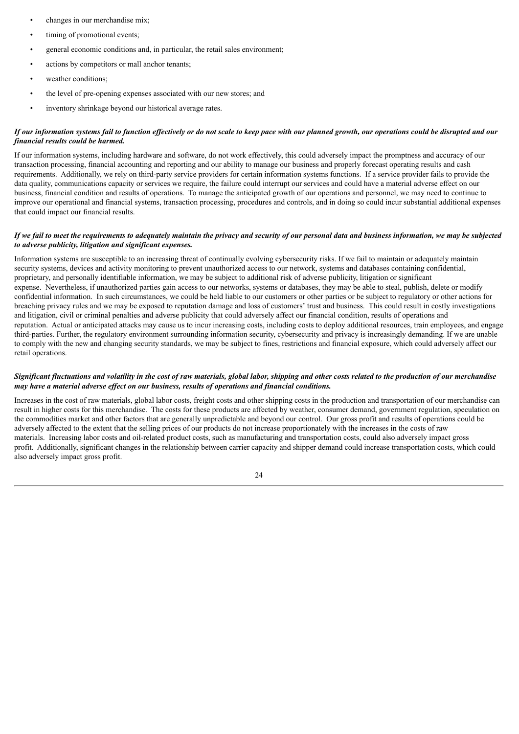- changes in our merchandise mix;
- timing of promotional events;
- general economic conditions and, in particular, the retail sales environment;
- actions by competitors or mall anchor tenants;
- weather conditions;
- the level of pre-opening expenses associated with our new stores; and
- inventory shrinkage beyond our historical average rates.

#### If our information systems fail to function effectively or do not scale to keep pace with our planned growth, our operations could be disrupted and our *financial results could be harmed.*

If our information systems, including hardware and software, do not work effectively, this could adversely impact the promptness and accuracy of our transaction processing, financial accounting and reporting and our ability to manage our business and properly forecast operating results and cash requirements. Additionally, we rely on third-party service providers for certain information systems functions. If a service provider fails to provide the data quality, communications capacity or services we require, the failure could interrupt our services and could have a material adverse effect on our business, financial condition and results of operations. To manage the anticipated growth of our operations and personnel, we may need to continue to improve our operational and financial systems, transaction processing, procedures and controls, and in doing so could incur substantial additional expenses that could impact our financial results.

#### If we fail to meet the requirements to adequately maintain the privacy and security of our personal data and business information, we may be subjected *to adverse publicity, litigation and significant expenses.*

Information systems are susceptible to an increasing threat of continually evolving cybersecurity risks. If we fail to maintain or adequately maintain security systems, devices and activity monitoring to prevent unauthorized access to our network, systems and databases containing confidential, proprietary, and personally identifiable information, we may be subject to additional risk of adverse publicity, litigation or significant expense. Nevertheless, if unauthorized parties gain access to our networks, systems or databases, they may be able to steal, publish, delete or modify confidential information. In such circumstances, we could be held liable to our customers or other parties or be subject to regulatory or other actions for breaching privacy rules and we may be exposed to reputation damage and loss of customers' trust and business. This could result in costly investigations and litigation, civil or criminal penalties and adverse publicity that could adversely affect our financial condition, results of operations and reputation. Actual or anticipated attacks may cause us to incur increasing costs, including costs to deploy additional resources, train employees, and engage third-parties. Further, the regulatory environment surrounding information security, cybersecurity and privacy is increasingly demanding. If we are unable to comply with the new and changing security standards, we may be subject to fines, restrictions and financial exposure, which could adversely affect our retail operations.

## Significant fluctuations and volatility in the cost of raw materials, global labor, shipping and other costs related to the production of our merchandise *may have a material adverse ef ect on our business, results of operations and financial conditions.*

Increases in the cost of raw materials, global labor costs, freight costs and other shipping costs in the production and transportation of our merchandise can result in higher costs for this merchandise. The costs for these products are affected by weather, consumer demand, government regulation, speculation on the commodities market and other factors that are generally unpredictable and beyond our control. Our gross profit and results of operations could be adversely affected to the extent that the selling prices of our products do not increase proportionately with the increases in the costs of raw materials. Increasing labor costs and oil-related product costs, such as manufacturing and transportation costs, could also adversely impact gross profit. Additionally, significant changes in the relationship between carrier capacity and shipper demand could increase transportation costs, which could also adversely impact gross profit.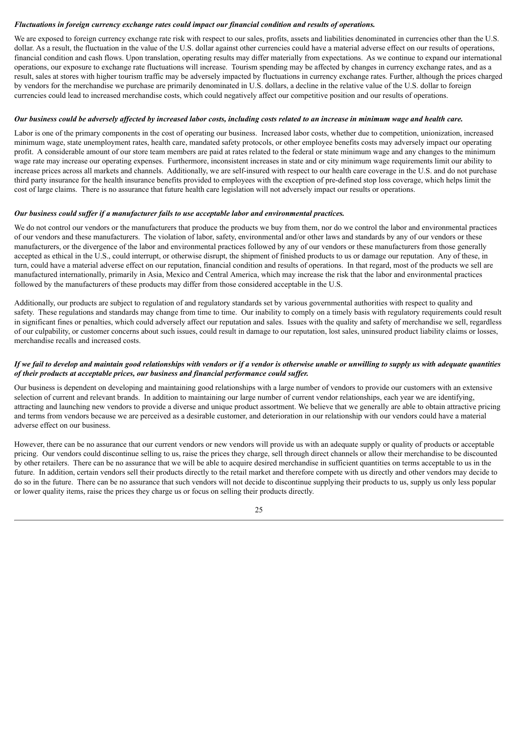## *Fluctuations in foreign currency exchange rates could impact our financial condition and results of operations.*

We are exposed to foreign currency exchange rate risk with respect to our sales, profits, assets and liabilities denominated in currencies other than the U.S. dollar. As a result, the fluctuation in the value of the U.S. dollar against other currencies could have a material adverse effect on our results of operations, financial condition and cash flows. Upon translation, operating results may differ materially from expectations. As we continue to expand our international operations, our exposure to exchange rate fluctuations will increase. Tourism spending may be affected by changes in currency exchange rates, and as a result, sales at stores with higher tourism traffic may be adversely impacted by fluctuations in currency exchange rates. Further, although the prices charged by vendors for the merchandise we purchase are primarily denominated in U.S. dollars, a decline in the relative value of the U.S. dollar to foreign currencies could lead to increased merchandise costs, which could negatively affect our competitive position and our results of operations.

## Our business could be adversely affected by increased labor costs, including costs related to an increase in minimum wage and health care.

Labor is one of the primary components in the cost of operating our business. Increased labor costs, whether due to competition, unionization, increased minimum wage, state unemployment rates, health care, mandated safety protocols, or other employee benefits costs may adversely impact our operating profit. A considerable amount of our store team members are paid at rates related to the federal or state minimum wage and any changes to the minimum wage rate may increase our operating expenses. Furthermore, inconsistent increases in state and or city minimum wage requirements limit our ability to increase prices across all markets and channels. Additionally, we are self-insured with respect to our health care coverage in the U.S. and do not purchase third party insurance for the health insurance benefits provided to employees with the exception of pre-defined stop loss coverage, which helps limit the cost of large claims. There is no assurance that future health care legislation will not adversely impact our results or operations.

#### *Our business could suf er if a manufacturer fails to use acceptable labor and environmental practices.*

We do not control our vendors or the manufacturers that produce the products we buy from them, nor do we control the labor and environmental practices of our vendors and these manufacturers. The violation of labor, safety, environmental and/or other laws and standards by any of our vendors or these manufacturers, or the divergence of the labor and environmental practices followed by any of our vendors or these manufacturers from those generally accepted as ethical in the U.S., could interrupt, or otherwise disrupt, the shipment of finished products to us or damage our reputation. Any of these, in turn, could have a material adverse effect on our reputation, financial condition and results of operations. In that regard, most of the products we sell are manufactured internationally, primarily in Asia, Mexico and Central America, which may increase the risk that the labor and environmental practices followed by the manufacturers of these products may differ from those considered acceptable in the U.S.

Additionally, our products are subject to regulation of and regulatory standards set by various governmental authorities with respect to quality and safety. These regulations and standards may change from time to time. Our inability to comply on a timely basis with regulatory requirements could result in significant fines or penalties, which could adversely affect our reputation and sales. Issues with the quality and safety of merchandise we sell, regardless of our culpability, or customer concerns about such issues, could result in damage to our reputation, lost sales, uninsured product liability claims or losses, merchandise recalls and increased costs.

## If we fail to develop and maintain good relationships with vendors or if a vendor is otherwise unable or unwilling to supply us with adequate quantities *of their products at acceptable prices, our business and financial performance could suf er.*

Our business is dependent on developing and maintaining good relationships with a large number of vendors to provide our customers with an extensive selection of current and relevant brands. In addition to maintaining our large number of current vendor relationships, each year we are identifying, attracting and launching new vendors to provide a diverse and unique product assortment. We believe that we generally are able to obtain attractive pricing and terms from vendors because we are perceived as a desirable customer, and deterioration in our relationship with our vendors could have a material adverse effect on our business.

However, there can be no assurance that our current vendors or new vendors will provide us with an adequate supply or quality of products or acceptable pricing. Our vendors could discontinue selling to us, raise the prices they charge, sell through direct channels or allow their merchandise to be discounted by other retailers. There can be no assurance that we will be able to acquire desired merchandise in sufficient quantities on terms acceptable to us in the future. In addition, certain vendors sell their products directly to the retail market and therefore compete with us directly and other vendors may decide to do so in the future. There can be no assurance that such vendors will not decide to discontinue supplying their products to us, supply us only less popular or lower quality items, raise the prices they charge us or focus on selling their products directly.

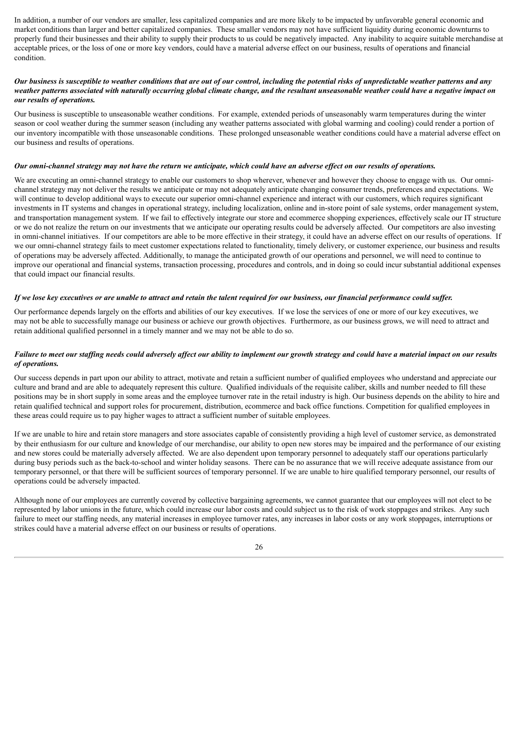In addition, a number of our vendors are smaller, less capitalized companies and are more likely to be impacted by unfavorable general economic and market conditions than larger and better capitalized companies. These smaller vendors may not have sufficient liquidity during economic downturns to properly fund their businesses and their ability to supply their products to us could be negatively impacted. Any inability to acquire suitable merchandise at acceptable prices, or the loss of one or more key vendors, could have a material adverse effect on our business, results of operations and financial condition.

## Our business is susceptible to weather conditions that are out of our control, including the potential risks of unpredictable weather patterns and any weather patterns associated with naturally occurring global climate change, and the resultant unseasonable weather could have a negative impact on *our results of operations.*

Our business is susceptible to unseasonable weather conditions. For example, extended periods of unseasonably warm temperatures during the winter season or cool weather during the summer season (including any weather patterns associated with global warming and cooling) could render a portion of our inventory incompatible with those unseasonable conditions. These prolonged unseasonable weather conditions could have a material adverse effect on our business and results of operations.

#### Our omni-channel strategy may not have the return we anticipate, which could have an adverse effect on our results of operations.

We are executing an omni-channel strategy to enable our customers to shop wherever, whenever and however they choose to engage with us. Our omnichannel strategy may not deliver the results we anticipate or may not adequately anticipate changing consumer trends, preferences and expectations. We will continue to develop additional ways to execute our superior omni-channel experience and interact with our customers, which requires significant investments in IT systems and changes in operational strategy, including localization, online and in-store point of sale systems, order management system, and transportation management system. If we fail to effectively integrate our store and ecommerce shopping experiences, effectively scale our IT structure or we do not realize the return on our investments that we anticipate our operating results could be adversely affected. Our competitors are also investing in omni-channel initiatives. If our competitors are able to be more effective in their strategy, it could have an adverse effect on our results of operations. If we our omni-channel strategy fails to meet customer expectations related to functionality, timely delivery, or customer experience, our business and results of operations may be adversely affected. Additionally, to manage the anticipated growth of our operations and personnel, we will need to continue to improve our operational and financial systems, transaction processing, procedures and controls, and in doing so could incur substantial additional expenses that could impact our financial results.

#### If we lose key executives or are unable to attract and retain the talent required for our business, our financial performance could suffer.

Our performance depends largely on the efforts and abilities of our key executives. If we lose the services of one or more of our key executives, we may not be able to successfully manage our business or achieve our growth objectives. Furthermore, as our business grows, we will need to attract and retain additional qualified personnel in a timely manner and we may not be able to do so.

#### Failure to meet our staffing needs could adversely affect our ability to implement our growth strategy and could have a material impact on our results *of operations.*

Our success depends in part upon our ability to attract, motivate and retain a sufficient number of qualified employees who understand and appreciate our culture and brand and are able to adequately represent this culture. Qualified individuals of the requisite caliber, skills and number needed to fill these positions may be in short supply in some areas and the employee turnover rate in the retail industry is high. Our business depends on the ability to hire and retain qualified technical and support roles for procurement, distribution, ecommerce and back office functions. Competition for qualified employees in these areas could require us to pay higher wages to attract a sufficient number of suitable employees.

If we are unable to hire and retain store managers and store associates capable of consistently providing a high level of customer service, as demonstrated by their enthusiasm for our culture and knowledge of our merchandise, our ability to open new stores may be impaired and the performance of our existing and new stores could be materially adversely affected. We are also dependent upon temporary personnel to adequately staff our operations particularly during busy periods such as the back-to-school and winter holiday seasons. There can be no assurance that we will receive adequate assistance from our temporary personnel, or that there will be sufficient sources of temporary personnel. If we are unable to hire qualified temporary personnel, our results of operations could be adversely impacted.

Although none of our employees are currently covered by collective bargaining agreements, we cannot guarantee that our employees will not elect to be represented by labor unions in the future, which could increase our labor costs and could subject us to the risk of work stoppages and strikes. Any such failure to meet our staffing needs, any material increases in employee turnover rates, any increases in labor costs or any work stoppages, interruptions or strikes could have a material adverse effect on our business or results of operations.

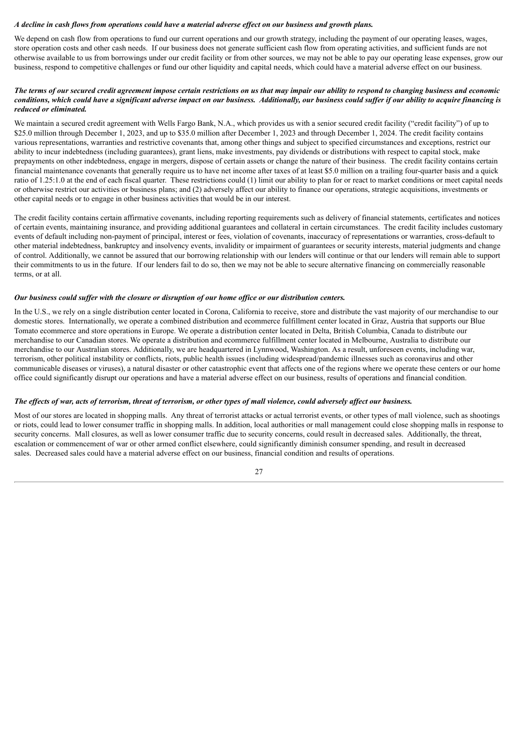#### A decline in cash flows from operations could have a material adverse effect on our business and growth plans.

We depend on cash flow from operations to fund our current operations and our growth strategy, including the payment of our operating leases, wages, store operation costs and other cash needs. If our business does not generate sufficient cash flow from operating activities, and sufficient funds are not otherwise available to us from borrowings under our credit facility or from other sources, we may not be able to pay our operating lease expenses, grow our business, respond to competitive challenges or fund our other liquidity and capital needs, which could have a material adverse effect on our business.

#### The terms of our secured credit agreement impose certain restrictions on us that may impair our ability to respond to changing business and economic conditions, which could have a significant adverse impact on our business. Additionally, our business could suffer if our ability to acquire financing is *reduced or eliminated.*

We maintain a secured credit agreement with Wells Fargo Bank, N.A., which provides us with a senior secured credit facility ("credit facility") of up to \$25.0 million through December 1, 2023, and up to \$35.0 million after December 1, 2023 and through December 1, 2024. The credit facility contains various representations, warranties and restrictive covenants that, among other things and subject to specified circumstances and exceptions, restrict our ability to incur indebtedness (including guarantees), grant liens, make investments, pay dividends or distributions with respect to capital stock, make prepayments on other indebtedness, engage in mergers, dispose of certain assets or change the nature of their business. The credit facility contains certain financial maintenance covenants that generally require us to have net income after taxes of at least \$5.0 million on a trailing four-quarter basis and a quick ratio of 1.25:1.0 at the end of each fiscal quarter. These restrictions could (1) limit our ability to plan for or react to market conditions or meet capital needs or otherwise restrict our activities or business plans; and (2) adversely affect our ability to finance our operations, strategic acquisitions, investments or other capital needs or to engage in other business activities that would be in our interest.

The credit facility contains certain affirmative covenants, including reporting requirements such as delivery of financial statements, certificates and notices of certain events, maintaining insurance, and providing additional guarantees and collateral in certain circumstances. The credit facility includes customary events of default including non-payment of principal, interest or fees, violation of covenants, inaccuracy of representations or warranties, cross-default to other material indebtedness, bankruptcy and insolvency events, invalidity or impairment of guarantees or security interests, material judgments and change of control. Additionally, we cannot be assured that our borrowing relationship with our lenders will continue or that our lenders will remain able to support their commitments to us in the future. If our lenders fail to do so, then we may not be able to secure alternative financing on commercially reasonable terms, or at all.

#### Our business could suffer with the closure or disruption of our home office or our distribution centers.

In the U.S., we rely on a single distribution center located in Corona, California to receive, store and distribute the vast majority of our merchandise to our domestic stores. Internationally, we operate a combined distribution and ecommerce fulfillment center located in Graz, Austria that supports our Blue Tomato ecommerce and store operations in Europe. We operate a distribution center located in Delta, British Columbia, Canada to distribute our merchandise to our Canadian stores. We operate a distribution and ecommerce fulfillment center located in Melbourne, Australia to distribute our merchandise to our Australian stores. Additionally, we are headquartered in Lynnwood, Washington. As a result, unforeseen events, including war, terrorism, other political instability or conflicts, riots, public health issues (including widespread/pandemic illnesses such as coronavirus and other communicable diseases or viruses), a natural disaster or other catastrophic event that affects one of the regions where we operate these centers or our home office could significantly disrupt our operations and have a material adverse effect on our business, results of operations and financial condition.

#### The effects of war, acts of terrorism, threat of terrorism, or other types of mall violence, could adversely affect our business.

Most of our stores are located in shopping malls. Any threat of terrorist attacks or actual terrorist events, or other types of mall violence, such as shootings or riots, could lead to lower consumer traffic in shopping malls. In addition, local authorities or mall management could close shopping malls in response to security concerns. Mall closures, as well as lower consumer traffic due to security concerns, could result in decreased sales. Additionally, the threat, escalation or commencement of war or other armed conflict elsewhere, could significantly diminish consumer spending, and result in decreased sales. Decreased sales could have a material adverse effect on our business, financial condition and results of operations.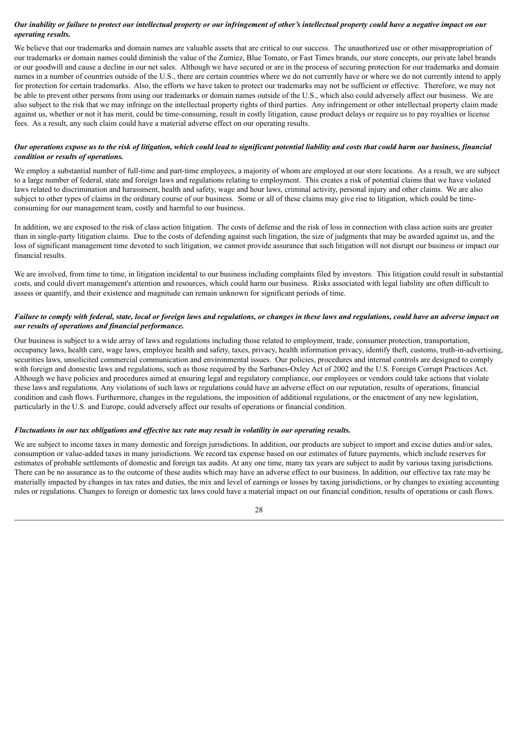## Our inability or failure to protect our intellectual property or our infringement of other's intellectual property could have a negative impact on our *operating results.*

We believe that our trademarks and domain names are valuable assets that are critical to our success. The unauthorized use or other misappropriation of our trademarks or domain names could diminish the value of the Zumiez, Blue Tomato, or Fast Times brands, our store concepts, our private label brands or our goodwill and cause a decline in our net sales. Although we have secured or are in the process of securing protection for our trademarks and domain names in a number of countries outside of the U.S., there are certain countries where we do not currently have or where we do not currently intend to apply for protection for certain trademarks. Also, the efforts we have taken to protect our trademarks may not be sufficient or effective. Therefore, we may not be able to prevent other persons from using our trademarks or domain names outside of the U.S., which also could adversely affect our business. We are also subject to the risk that we may infringe on the intellectual property rights of third parties. Any infringement or other intellectual property claim made against us, whether or not it has merit, could be time-consuming, result in costly litigation, cause product delays or require us to pay royalties or license fees. As a result, any such claim could have a material adverse effect on our operating results.

## Our operations expose us to the risk of litigation, which could lead to significant potential liability and costs that could harm our business, financial *condition or results of operations.*

We employ a substantial number of full-time and part-time employees, a majority of whom are employed at our store locations. As a result, we are subject to a large number of federal, state and foreign laws and regulations relating to employment. This creates a risk of potential claims that we have violated laws related to discrimination and harassment, health and safety, wage and hour laws, criminal activity, personal injury and other claims. We are also subject to other types of claims in the ordinary course of our business. Some or all of these claims may give rise to litigation, which could be timeconsuming for our management team, costly and harmful to our business.

In addition, we are exposed to the risk of class action litigation. The costs of defense and the risk of loss in connection with class action suits are greater than in single-party litigation claims. Due to the costs of defending against such litigation, the size of judgments that may be awarded against us, and the loss of significant management time devoted to such litigation, we cannot provide assurance that such litigation will not disrupt our business or impact our financial results.

We are involved, from time to time, in litigation incidental to our business including complaints filed by investors. This litigation could result in substantial costs, and could divert management's attention and resources, which could harm our business. Risks associated with legal liability are often difficult to assess or quantify, and their existence and magnitude can remain unknown for significant periods of time.

## Failure to comply with federal, state, local or foreign laws and regulations, or changes in these laws and regulations, could have an adverse impact on *our results of operations and financial performance.*

Our business is subject to a wide array of laws and regulations including those related to employment, trade, consumer protection, transportation, occupancy laws, health care, wage laws, employee health and safety, taxes, privacy, health information privacy, identify theft, customs, truth-in-advertising, securities laws, unsolicited commercial communication and environmental issues. Our policies, procedures and internal controls are designed to comply with foreign and domestic laws and regulations, such as those required by the Sarbanes-Oxley Act of 2002 and the U.S. Foreign Corrupt Practices Act. Although we have policies and procedures aimed at ensuring legal and regulatory compliance, our employees or vendors could take actions that violate these laws and regulations. Any violations of such laws or regulations could have an adverse effect on our reputation, results of operations, financial condition and cash flows. Furthermore, changes in the regulations, the imposition of additional regulations, or the enactment of any new legislation, particularly in the U.S. and Europe, could adversely affect our results of operations or financial condition.

## Fluctuations in our tax obligations and effective tax rate may result in volatility in our operating results.

We are subject to income taxes in many domestic and foreign jurisdictions. In addition, our products are subject to import and excise duties and/or sales, consumption or value-added taxes in many jurisdictions. We record tax expense based on our estimates of future payments, which include reserves for estimates of probable settlements of domestic and foreign tax audits. At any one time, many tax years are subject to audit by various taxing jurisdictions. There can be no assurance as to the outcome of these audits which may have an adverse effect to our business. In addition, our effective tax rate may be materially impacted by changes in tax rates and duties, the mix and level of earnings or losses by taxing jurisdictions, or by changes to existing accounting rules or regulations. Changes to foreign or domestic tax laws could have a material impact on our financial condition, results of operations or cash flows.

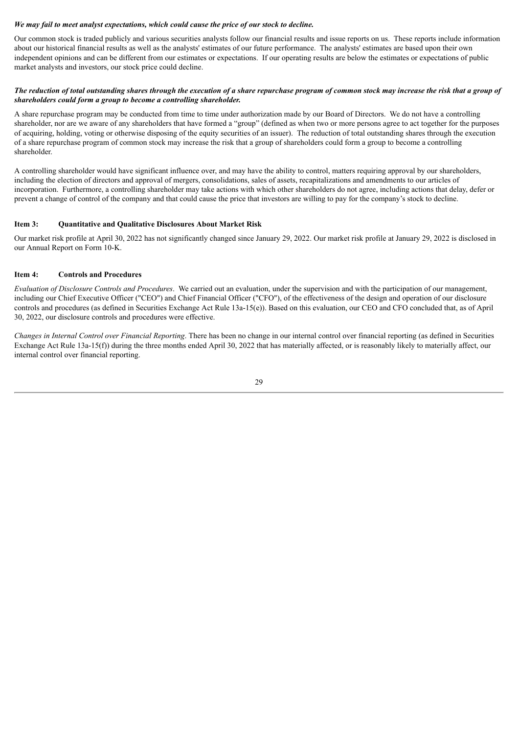## *We may fail to meet analyst expectations, which could cause the price of our stock to decline.*

Our common stock is traded publicly and various securities analysts follow our financial results and issue reports on us. These reports include information about our historical financial results as well as the analysts' estimates of our future performance. The analysts' estimates are based upon their own independent opinions and can be different from our estimates or expectations. If our operating results are below the estimates or expectations of public market analysts and investors, our stock price could decline.

#### The reduction of total outstanding shares through the execution of a share repurchase program of common stock may increase the risk that a group of *shareholders could form a group to become a controlling shareholder.*

A share repurchase program may be conducted from time to time under authorization made by our Board of Directors. We do not have a controlling shareholder, nor are we aware of any shareholders that have formed a "group" (defined as when two or more persons agree to act together for the purposes of acquiring, holding, voting or otherwise disposing of the equity securities of an issuer). The reduction of total outstanding shares through the execution of a share repurchase program of common stock may increase the risk that a group of shareholders could form a group to become a controlling shareholder.

A controlling shareholder would have significant influence over, and may have the ability to control, matters requiring approval by our shareholders, including the election of directors and approval of mergers, consolidations, sales of assets, recapitalizations and amendments to our articles of incorporation. Furthermore, a controlling shareholder may take actions with which other shareholders do not agree, including actions that delay, defer or prevent a change of control of the company and that could cause the price that investors are willing to pay for the company's stock to decline.

#### <span id="page-28-0"></span>**Item 3: Quantitative and Qualitative Disclosures About Market Risk**

Our market risk profile at April 30, 2022 has not significantly changed since January 29, 2022. Our market risk profile at January 29, 2022 is disclosed in our Annual Report on Form 10-K.

#### <span id="page-28-1"></span>**Item 4: Controls and Procedures**

*Evaluation of Disclosure Controls and Procedures*. We carried out an evaluation, under the supervision and with the participation of our management, including our Chief Executive Officer ("CEO") and Chief Financial Officer ("CFO"), of the effectiveness of the design and operation of our disclosure controls and procedures (as defined in Securities Exchange Act Rule 13a-15(e)). Based on this evaluation, our CEO and CFO concluded that, as of April 30, 2022, our disclosure controls and procedures were effective.

*Changes in Internal Control over Financial Reporting*. There has been no change in our internal control over financial reporting (as defined in Securities Exchange Act Rule 13a-15(f)) during the three months ended April 30, 2022 that has materially affected, or is reasonably likely to materially affect, our internal control over financial reporting.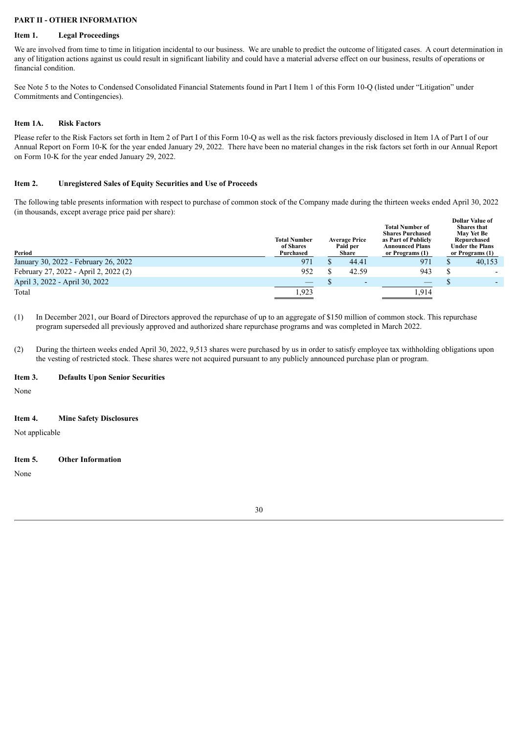## <span id="page-29-0"></span>**PART II - OTHER INFORMATION**

## <span id="page-29-1"></span>**Item 1. Legal Proceedings**

We are involved from time to time in litigation incidental to our business. We are unable to predict the outcome of litigated cases. A court determination in any of litigation actions against us could result in significant liability and could have a material adverse effect on our business, results of operations or financial condition.

See Note 5 to the Notes to Condensed Consolidated Financial Statements found in Part I Item 1 of this Form 10-Q (listed under "Litigation" under Commitments and Contingencies).

#### <span id="page-29-2"></span>**Item 1A. Risk Factors**

Please refer to the Risk Factors set forth in Item 2 of Part I of this Form 10-Q as well as the risk factors previously disclosed in Item 1A of Part I of our Annual Report on Form 10-K for the year ended January 29, 2022. There have been no material changes in the risk factors set forth in our Annual Report on Form 10-K for the year ended January 29, 2022.

#### <span id="page-29-3"></span>**Item 2. Unregistered Sales of Equity Securities and Use of Proceeds**

The following table presents information with respect to purchase of common stock of the Company made during the thirteen weeks ended April 30, 2022 (in thousands, except average price paid per share): **Dollar Value of**

| Period                                | <b>Total Number</b><br>of Shares<br>Purchased | <b>Total Number of</b><br><b>Shares Purchased</b><br>as Part of Publicly<br><b>Average Price</b><br><b>Announced Plans</b><br>Paid per<br>Share<br>or Programs (1) |      | DUHAL VAIUU VI<br><b>Shares that</b><br><b>May Yet Be</b><br>Repurchased<br><b>Under the Plans</b><br>or Programs (1) |
|---------------------------------------|-----------------------------------------------|--------------------------------------------------------------------------------------------------------------------------------------------------------------------|------|-----------------------------------------------------------------------------------------------------------------------|
| January 30, 2022 - February 26, 2022  | 971                                           | 44.41                                                                                                                                                              | 971  | 40,153                                                                                                                |
| February 27, 2022 - April 2, 2022 (2) | 952                                           | 42.59                                                                                                                                                              | 943  |                                                                                                                       |
| April 3, 2022 - April 30, 2022        |                                               |                                                                                                                                                                    |      |                                                                                                                       |
| Total                                 | .923                                          |                                                                                                                                                                    | .914 |                                                                                                                       |

(1) In December 2021, our Board of Directors approved the repurchase of up to an aggregate of \$150 million of common stock. This repurchase program superseded all previously approved and authorized share repurchase programs and was completed in March 2022.

(2) During the thirteen weeks ended April 30, 2022, 9,513 shares were purchased by us in order to satisfy employee tax withholding obligations upon the vesting of restricted stock. These shares were not acquired pursuant to any publicly announced purchase plan or program.

#### <span id="page-29-4"></span>**Item 3. Defaults Upon Senior Securities**

None

#### <span id="page-29-5"></span>**Item 4. Mine Safety Disclosures**

Not applicable

#### <span id="page-29-6"></span>**Item 5. Other Information**

None

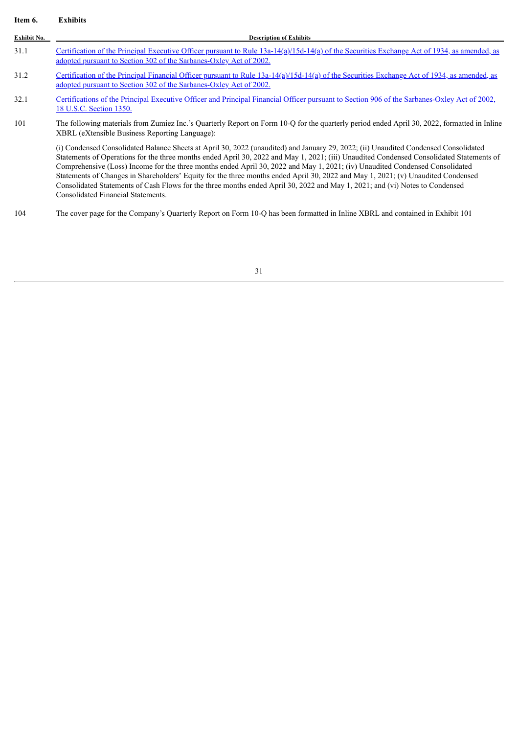<span id="page-30-0"></span>

| Exhibit No. | <b>Description of Exhibits</b>                                                                                                                                                                                                                                                                                                                                                                                                                                                                                                                                                                                                                                                                                            |
|-------------|---------------------------------------------------------------------------------------------------------------------------------------------------------------------------------------------------------------------------------------------------------------------------------------------------------------------------------------------------------------------------------------------------------------------------------------------------------------------------------------------------------------------------------------------------------------------------------------------------------------------------------------------------------------------------------------------------------------------------|
| 31.1        | Certification of the Principal Executive Officer pursuant to Rule 13a-14(a)/15d-14(a) of the Securities Exchange Act of 1934, as amended, as<br>adopted pursuant to Section 302 of the Sarbanes-Oxley Act of 2002.                                                                                                                                                                                                                                                                                                                                                                                                                                                                                                        |
| 31.2        | Certification of the Principal Financial Officer pursuant to Rule 13a-14(a)/15d-14(a) of the Securities Exchange Act of 1934, as amended, as<br>adopted pursuant to Section 302 of the Sarbanes-Oxley Act of 2002.                                                                                                                                                                                                                                                                                                                                                                                                                                                                                                        |
| 32.1        | Certifications of the Principal Executive Officer and Principal Financial Officer pursuant to Section 906 of the Sarbanes-Oxley Act of 2002,<br>18 U.S.C. Section 1350.                                                                                                                                                                                                                                                                                                                                                                                                                                                                                                                                                   |
| 101         | The following materials from Zumiez Inc.'s Quarterly Report on Form 10-Q for the quarterly period ended April 30, 2022, formatted in Inline<br>XBRL (eXtensible Business Reporting Language):                                                                                                                                                                                                                                                                                                                                                                                                                                                                                                                             |
|             | (i) Condensed Consolidated Balance Sheets at April 30, 2022 (unaudited) and January 29, 2022; (ii) Unaudited Condensed Consolidated<br>Statements of Operations for the three months ended April 30, 2022 and May 1, 2021; (iii) Unaudited Condensed Consolidated Statements of<br>Comprehensive (Loss) Income for the three months ended April 30, 2022 and May 1, 2021; (iv) Unaudited Condensed Consolidated<br>Statements of Changes in Shareholders' Equity for the three months ended April 30, 2022 and May 1, 2021; (v) Unaudited Condensed<br>Consolidated Statements of Cash Flows for the three months ended April 30, 2022 and May 1, 2021; and (vi) Notes to Condensed<br>Consolidated Financial Statements. |
| 104         | The cover page for the Company's Quarterly Report on Form 10-Q has been formatted in Inline XBRL and contained in Exhibit 101                                                                                                                                                                                                                                                                                                                                                                                                                                                                                                                                                                                             |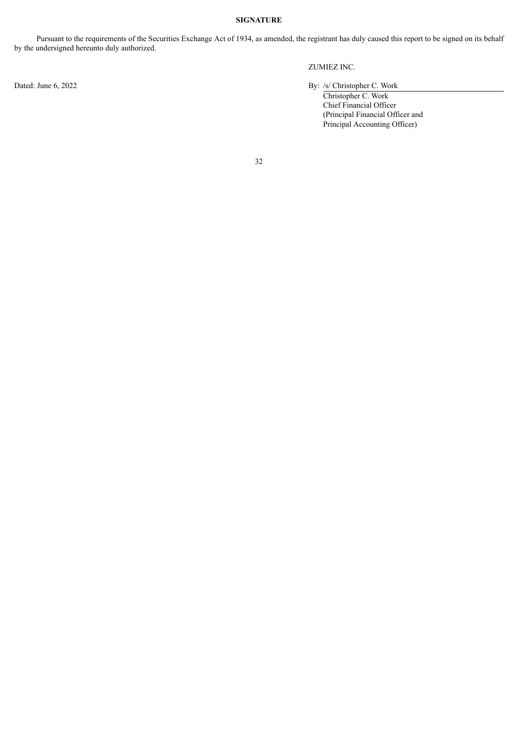## **SIGNATURE**

<span id="page-31-0"></span>Pursuant to the requirements of the Securities Exchange Act of 1934, as amended, the registrant has duly caused this report to be signed on its behalf by the undersigned hereunto duly authorized.

ZUMIEZ INC.

Dated: June 6, 2022 By: /s/ Christopher C. Work

Christopher C. Work Chief Financial Officer (Principal Financial Officer and Principal Accounting Officer)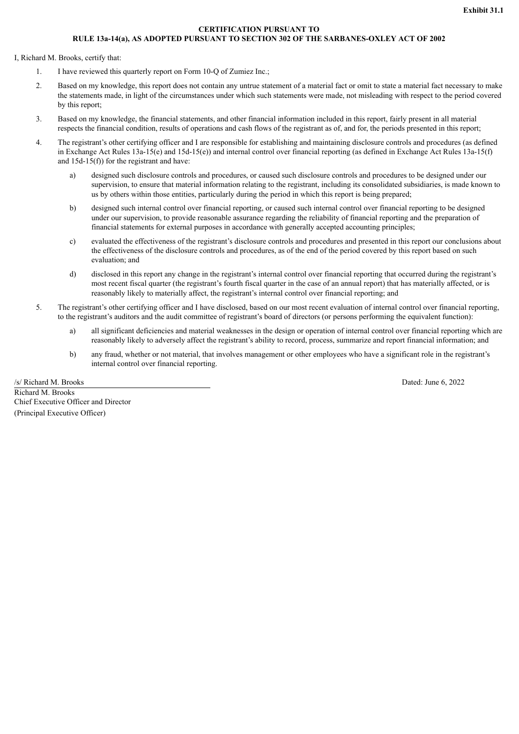# **CERTIFICATION PURSUANT TO**

## **RULE 13a-14(a), AS ADOPTED PURSUANT TO SECTION 302 OF THE SARBANES-OXLEY ACT OF 2002**

<span id="page-32-0"></span>I, Richard M. Brooks, certify that:

- 1. I have reviewed this quarterly report on Form 10-Q of Zumiez Inc.;
- 2. Based on my knowledge, this report does not contain any untrue statement of a material fact or omit to state a material fact necessary to make the statements made, in light of the circumstances under which such statements were made, not misleading with respect to the period covered by this report;
- 3. Based on my knowledge, the financial statements, and other financial information included in this report, fairly present in all material respects the financial condition, results of operations and cash flows of the registrant as of, and for, the periods presented in this report;
- 4. The registrant's other certifying officer and I are responsible for establishing and maintaining disclosure controls and procedures (as defined in Exchange Act Rules 13a-15(e) and 15d-15(e)) and internal control over financial reporting (as defined in Exchange Act Rules 13a-15(f) and 15d-15(f)) for the registrant and have:
	- a) designed such disclosure controls and procedures, or caused such disclosure controls and procedures to be designed under our supervision, to ensure that material information relating to the registrant, including its consolidated subsidiaries, is made known to us by others within those entities, particularly during the period in which this report is being prepared;
	- b) designed such internal control over financial reporting, or caused such internal control over financial reporting to be designed under our supervision, to provide reasonable assurance regarding the reliability of financial reporting and the preparation of financial statements for external purposes in accordance with generally accepted accounting principles;
	- c) evaluated the effectiveness of the registrant's disclosure controls and procedures and presented in this report our conclusions about the effectiveness of the disclosure controls and procedures, as of the end of the period covered by this report based on such evaluation; and
	- d) disclosed in this report any change in the registrant's internal control over financial reporting that occurred during the registrant's most recent fiscal quarter (the registrant's fourth fiscal quarter in the case of an annual report) that has materially affected, or is reasonably likely to materially affect, the registrant's internal control over financial reporting; and
- 5. The registrant's other certifying officer and I have disclosed, based on our most recent evaluation of internal control over financial reporting, to the registrant's auditors and the audit committee of registrant's board of directors (or persons performing the equivalent function):
	- a) all significant deficiencies and material weaknesses in the design or operation of internal control over financial reporting which are reasonably likely to adversely affect the registrant's ability to record, process, summarize and report financial information; and
	- b) any fraud, whether or not material, that involves management or other employees who have a significant role in the registrant's internal control over financial reporting.

/s/ Richard M. Brooks Dated: June 6, 2022 Richard M. Brooks Chief Executive Officer and Director (Principal Executive Officer)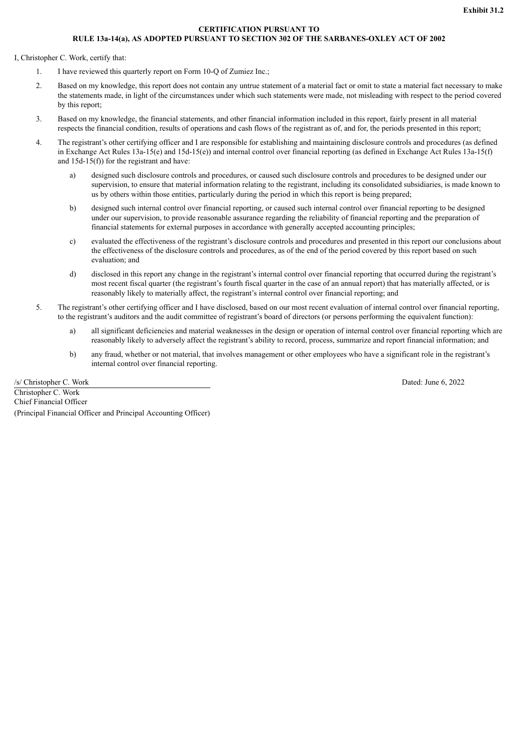# **CERTIFICATION PURSUANT TO**

## **RULE 13a-14(a), AS ADOPTED PURSUANT TO SECTION 302 OF THE SARBANES-OXLEY ACT OF 2002**

<span id="page-33-0"></span>I, Christopher C. Work, certify that:

- 1. I have reviewed this quarterly report on Form 10-Q of Zumiez Inc.;
- 2. Based on my knowledge, this report does not contain any untrue statement of a material fact or omit to state a material fact necessary to make the statements made, in light of the circumstances under which such statements were made, not misleading with respect to the period covered by this report;
- 3. Based on my knowledge, the financial statements, and other financial information included in this report, fairly present in all material respects the financial condition, results of operations and cash flows of the registrant as of, and for, the periods presented in this report;
- 4. The registrant's other certifying officer and I are responsible for establishing and maintaining disclosure controls and procedures (as defined in Exchange Act Rules 13a-15(e) and 15d-15(e)) and internal control over financial reporting (as defined in Exchange Act Rules 13a-15(f) and 15d-15(f)) for the registrant and have:
	- a) designed such disclosure controls and procedures, or caused such disclosure controls and procedures to be designed under our supervision, to ensure that material information relating to the registrant, including its consolidated subsidiaries, is made known to us by others within those entities, particularly during the period in which this report is being prepared;
	- b) designed such internal control over financial reporting, or caused such internal control over financial reporting to be designed under our supervision, to provide reasonable assurance regarding the reliability of financial reporting and the preparation of financial statements for external purposes in accordance with generally accepted accounting principles;
	- c) evaluated the effectiveness of the registrant's disclosure controls and procedures and presented in this report our conclusions about the effectiveness of the disclosure controls and procedures, as of the end of the period covered by this report based on such evaluation; and
	- d) disclosed in this report any change in the registrant's internal control over financial reporting that occurred during the registrant's most recent fiscal quarter (the registrant's fourth fiscal quarter in the case of an annual report) that has materially affected, or is reasonably likely to materially affect, the registrant's internal control over financial reporting; and
- 5. The registrant's other certifying officer and I have disclosed, based on our most recent evaluation of internal control over financial reporting, to the registrant's auditors and the audit committee of registrant's board of directors (or persons performing the equivalent function):
	- a) all significant deficiencies and material weaknesses in the design or operation of internal control over financial reporting which are reasonably likely to adversely affect the registrant's ability to record, process, summarize and report financial information; and
	- b) any fraud, whether or not material, that involves management or other employees who have a significant role in the registrant's internal control over financial reporting.

/s/ Christopher C. Work Dated: June 6, 2022

Christopher C. Work Chief Financial Officer (Principal Financial Officer and Principal Accounting Officer)